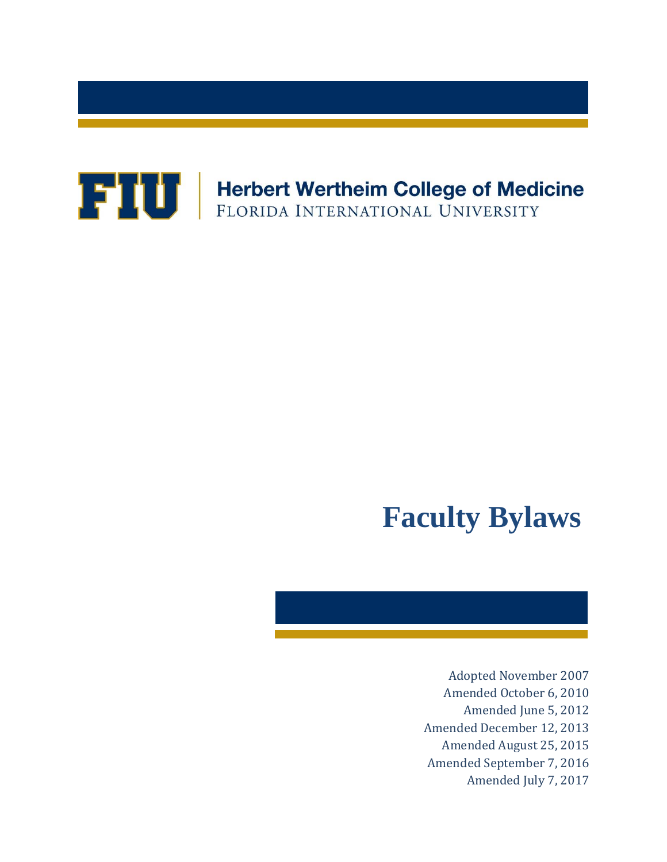

# **Faculty Bylaws**

Adopted November 2007 Amended October 6, 2010 Amended June 5, 2012 Amended December 12, 2013 Amended August 25, 2015 Amended September 7, 2016 Amended July 7, 2017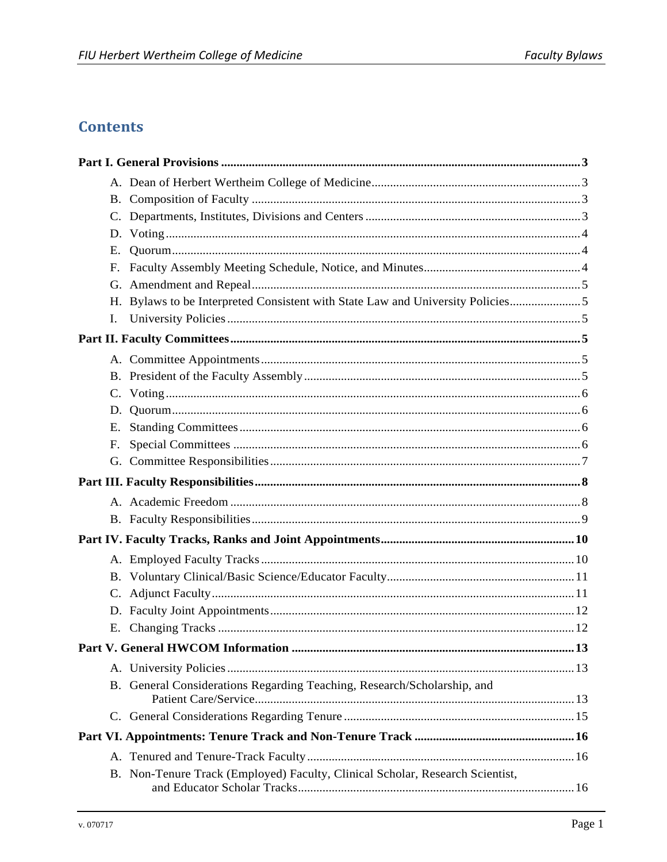# **Contents**

| E. |                                                                                |  |
|----|--------------------------------------------------------------------------------|--|
|    |                                                                                |  |
|    |                                                                                |  |
|    | H. Bylaws to be Interpreted Consistent with State Law and University Policies5 |  |
| L. |                                                                                |  |
|    |                                                                                |  |
|    |                                                                                |  |
|    |                                                                                |  |
|    |                                                                                |  |
| D. |                                                                                |  |
| E. |                                                                                |  |
| F. |                                                                                |  |
|    |                                                                                |  |
|    |                                                                                |  |
|    |                                                                                |  |
|    |                                                                                |  |
|    |                                                                                |  |
|    |                                                                                |  |
|    |                                                                                |  |
|    |                                                                                |  |
|    |                                                                                |  |
|    |                                                                                |  |
|    |                                                                                |  |
|    |                                                                                |  |
|    | B. General Considerations Regarding Teaching, Research/Scholarship, and        |  |
|    |                                                                                |  |
|    |                                                                                |  |
|    |                                                                                |  |
|    | B. Non-Tenure Track (Employed) Faculty, Clinical Scholar, Research Scientist,  |  |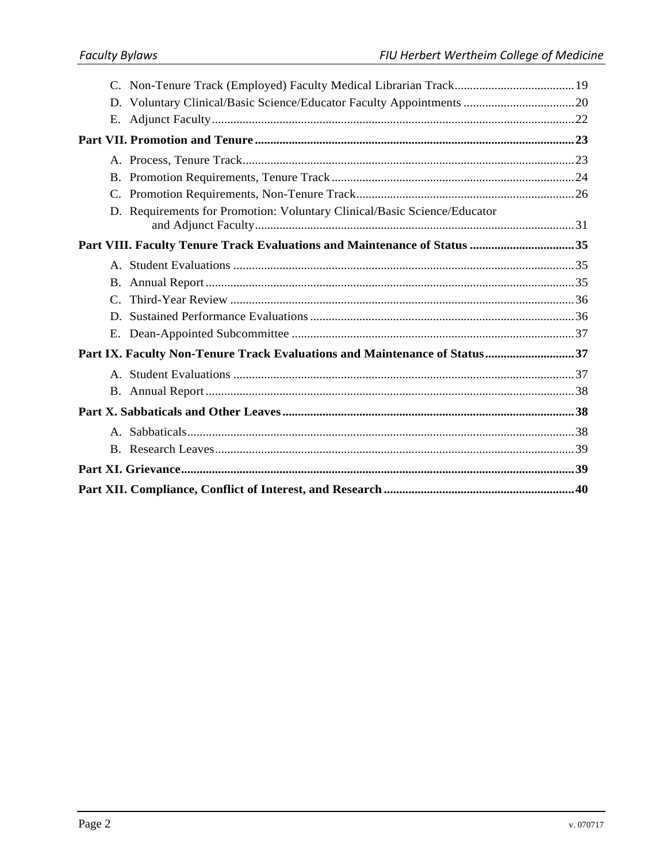|  | D. Requirements for Promotion: Voluntary Clinical/Basic Science/Educator  |  |  |
|--|---------------------------------------------------------------------------|--|--|
|  | Part VIII. Faculty Tenure Track Evaluations and Maintenance of Status 35  |  |  |
|  |                                                                           |  |  |
|  |                                                                           |  |  |
|  |                                                                           |  |  |
|  |                                                                           |  |  |
|  |                                                                           |  |  |
|  | Part IX. Faculty Non-Tenure Track Evaluations and Maintenance of Status37 |  |  |
|  |                                                                           |  |  |
|  |                                                                           |  |  |
|  |                                                                           |  |  |
|  |                                                                           |  |  |
|  |                                                                           |  |  |
|  |                                                                           |  |  |
|  |                                                                           |  |  |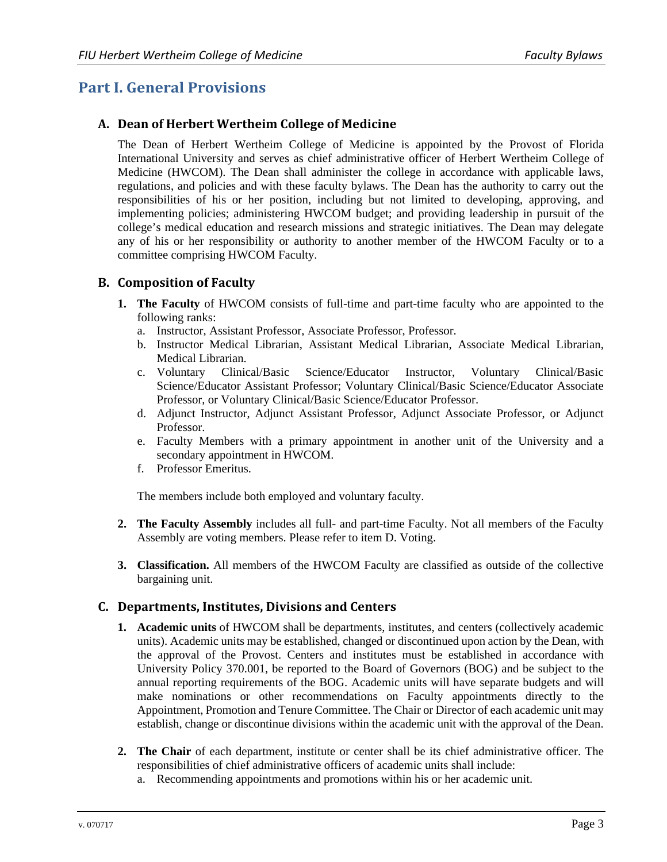# **Part I. General Provisions**

#### **A. Dean of Herbert Wertheim College of Medicine**

The Dean of Herbert Wertheim College of Medicine is appointed by the Provost of Florida International University and serves as chief administrative officer of Herbert Wertheim College of Medicine (HWCOM). The Dean shall administer the college in accordance with applicable laws, regulations, and policies and with these faculty bylaws. The Dean has the authority to carry out the responsibilities of his or her position, including but not limited to developing, approving, and implementing policies; administering HWCOM budget; and providing leadership in pursuit of the college's medical education and research missions and strategic initiatives. The Dean may delegate any of his or her responsibility or authority to another member of the HWCOM Faculty or to a committee comprising HWCOM Faculty.

#### **B. Composition of Faculty**

- **1. The Faculty** of HWCOM consists of full-time and part-time faculty who are appointed to the following ranks:
	- a. Instructor, Assistant Professor, Associate Professor, Professor.
	- b. Instructor Medical Librarian, Assistant Medical Librarian, Associate Medical Librarian, Medical Librarian.
	- c. Voluntary Clinical/Basic Science/Educator Instructor, Voluntary Clinical/Basic Science/Educator Assistant Professor; Voluntary Clinical/Basic Science/Educator Associate Professor, or Voluntary Clinical/Basic Science/Educator Professor.
	- d. Adjunct Instructor, Adjunct Assistant Professor, Adjunct Associate Professor, or Adjunct Professor.
	- e. Faculty Members with a primary appointment in another unit of the University and a secondary appointment in HWCOM.
	- f. Professor Emeritus.

The members include both employed and voluntary faculty.

- **2. The Faculty Assembly** includes all full- and part-time Faculty. Not all members of the Faculty Assembly are voting members. Please refer to item D. Voting.
- **3. Classification.** All members of the HWCOM Faculty are classified as outside of the collective bargaining unit.

#### **C. Departments, Institutes, Divisions and Centers**

- **1. Academic units** of HWCOM shall be departments, institutes, and centers (collectively academic units). Academic units may be established, changed or discontinued upon action by the Dean, with the approval of the Provost. Centers and institutes must be established in accordance with University Policy 370.001, be reported to the Board of Governors (BOG) and be subject to the annual reporting requirements of the BOG. Academic units will have separate budgets and will make nominations or other recommendations on Faculty appointments directly to the Appointment, Promotion and Tenure Committee. The Chair or Director of each academic unit may establish, change or discontinue divisions within the academic unit with the approval of the Dean.
- **2. The Chair** of each department, institute or center shall be its chief administrative officer. The responsibilities of chief administrative officers of academic units shall include:
	- a. Recommending appointments and promotions within his or her academic unit.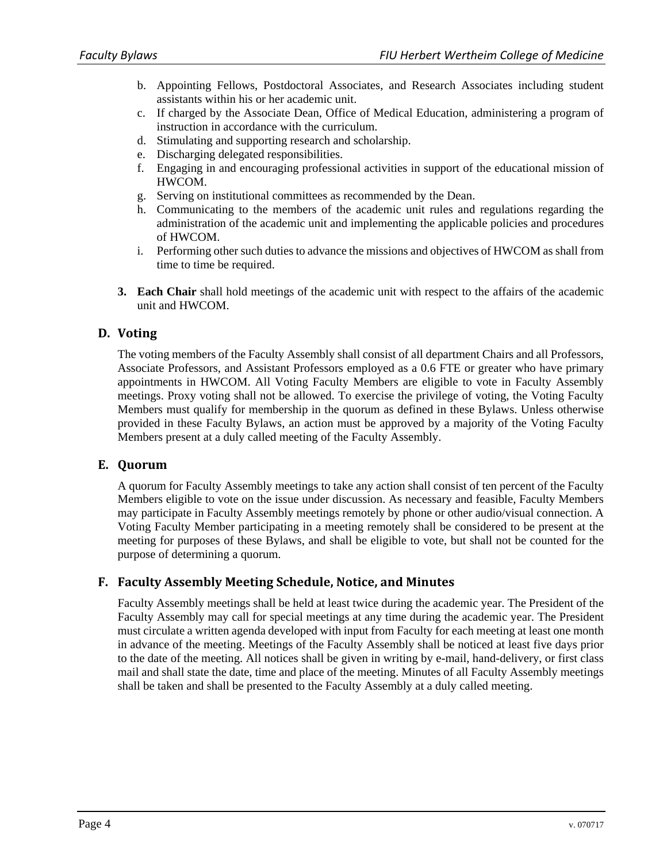- b. Appointing Fellows, Postdoctoral Associates, and Research Associates including student assistants within his or her academic unit.
- c. If charged by the Associate Dean, Office of Medical Education, administering a program of instruction in accordance with the curriculum.
- d. Stimulating and supporting research and scholarship.
- e. Discharging delegated responsibilities.
- f. Engaging in and encouraging professional activities in support of the educational mission of HWCOM.
- g. Serving on institutional committees as recommended by the Dean.
- h. Communicating to the members of the academic unit rules and regulations regarding the administration of the academic unit and implementing the applicable policies and procedures of HWCOM.
- i. Performing other such duties to advance the missions and objectives of HWCOM as shall from time to time be required.
- **3. Each Chair** shall hold meetings of the academic unit with respect to the affairs of the academic unit and HWCOM.

# **D. Voting**

The voting members of the Faculty Assembly shall consist of all department Chairs and all Professors, Associate Professors, and Assistant Professors employed as a 0.6 FTE or greater who have primary appointments in HWCOM. All Voting Faculty Members are eligible to vote in Faculty Assembly meetings. Proxy voting shall not be allowed. To exercise the privilege of voting, the Voting Faculty Members must qualify for membership in the quorum as defined in these Bylaws. Unless otherwise provided in these Faculty Bylaws, an action must be approved by a majority of the Voting Faculty Members present at a duly called meeting of the Faculty Assembly.

#### **E. Quorum**

A quorum for Faculty Assembly meetings to take any action shall consist of ten percent of the Faculty Members eligible to vote on the issue under discussion. As necessary and feasible, Faculty Members may participate in Faculty Assembly meetings remotely by phone or other audio/visual connection. A Voting Faculty Member participating in a meeting remotely shall be considered to be present at the meeting for purposes of these Bylaws, and shall be eligible to vote, but shall not be counted for the purpose of determining a quorum.

#### **F. Faculty Assembly Meeting Schedule, Notice, and Minutes**

Faculty Assembly meetings shall be held at least twice during the academic year. The President of the Faculty Assembly may call for special meetings at any time during the academic year. The President must circulate a written agenda developed with input from Faculty for each meeting at least one month in advance of the meeting. Meetings of the Faculty Assembly shall be noticed at least five days prior to the date of the meeting. All notices shall be given in writing by e-mail, hand-delivery, or first class mail and shall state the date, time and place of the meeting. Minutes of all Faculty Assembly meetings shall be taken and shall be presented to the Faculty Assembly at a duly called meeting.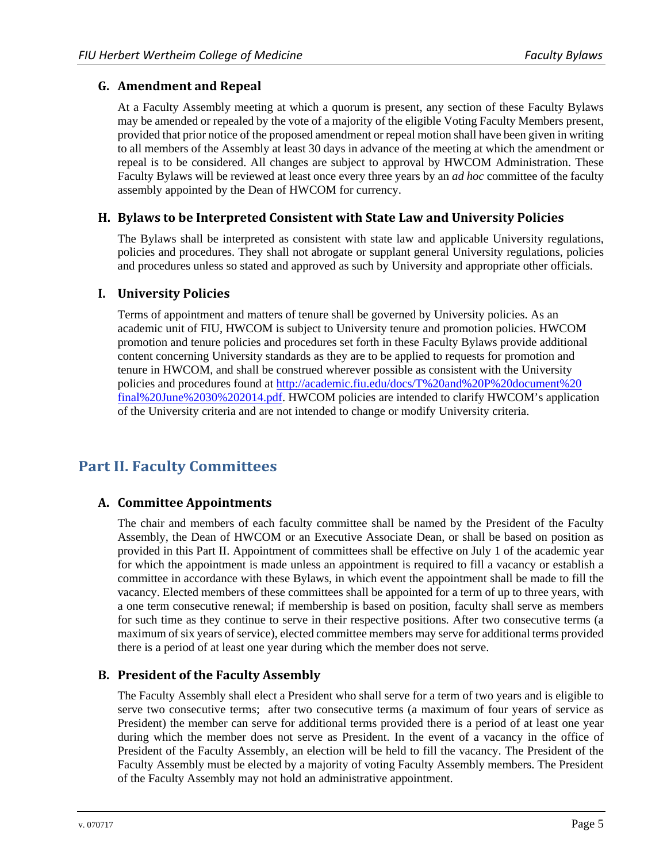### **G. Amendment and Repeal**

At a Faculty Assembly meeting at which a quorum is present, any section of these Faculty Bylaws may be amended or repealed by the vote of a majority of the eligible Voting Faculty Members present, provided that prior notice of the proposed amendment or repeal motion shall have been given in writing to all members of the Assembly at least 30 days in advance of the meeting at which the amendment or repeal is to be considered. All changes are subject to approval by HWCOM Administration. These Faculty Bylaws will be reviewed at least once every three years by an *ad hoc* committee of the faculty assembly appointed by the Dean of HWCOM for currency.

### **H. Bylaws to be Interpreted Consistent with State Law and University Policies**

The Bylaws shall be interpreted as consistent with state law and applicable University regulations, policies and procedures. They shall not abrogate or supplant general University regulations, policies and procedures unless so stated and approved as such by University and appropriate other officials.

#### **I. University Policies**

Terms of appointment and matters of tenure shall be governed by University policies. As an academic unit of FIU, HWCOM is subject to University tenure and promotion policies. HWCOM promotion and tenure policies and procedures set forth in these Faculty Bylaws provide additional content concerning University standards as they are to be applied to requests for promotion and tenure in HWCOM, and shall be construed wherever possible as consistent with the University policies and procedures found at http://academic.fiu.edu/docs/T%20and%20P%20document%20 final%20June%2030%202014.pdf. HWCOM policies are intended to clarify HWCOM's application of the University criteria and are not intended to change or modify University criteria.

# **Part II. Faculty Committees**

# **A. Committee Appointments**

The chair and members of each faculty committee shall be named by the President of the Faculty Assembly, the Dean of HWCOM or an Executive Associate Dean, or shall be based on position as provided in this Part II. Appointment of committees shall be effective on July 1 of the academic year for which the appointment is made unless an appointment is required to fill a vacancy or establish a committee in accordance with these Bylaws, in which event the appointment shall be made to fill the vacancy. Elected members of these committees shall be appointed for a term of up to three years, with a one term consecutive renewal; if membership is based on position, faculty shall serve as members for such time as they continue to serve in their respective positions. After two consecutive terms (a maximum of six years of service), elected committee members may serve for additional terms provided there is a period of at least one year during which the member does not serve.

# **B. President of the Faculty Assembly**

The Faculty Assembly shall elect a President who shall serve for a term of two years and is eligible to serve two consecutive terms; after two consecutive terms (a maximum of four years of service as President) the member can serve for additional terms provided there is a period of at least one year during which the member does not serve as President. In the event of a vacancy in the office of President of the Faculty Assembly, an election will be held to fill the vacancy. The President of the Faculty Assembly must be elected by a majority of voting Faculty Assembly members. The President of the Faculty Assembly may not hold an administrative appointment.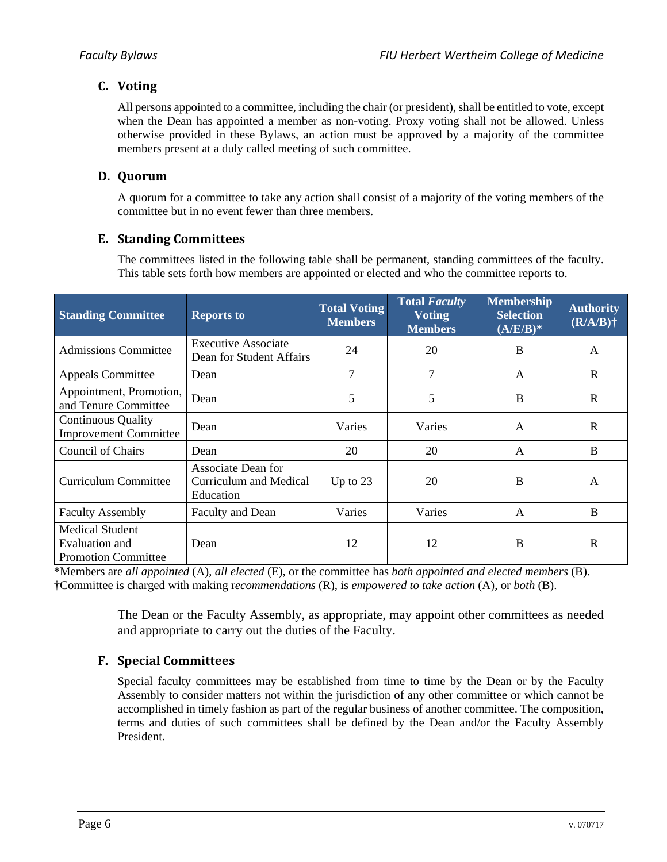# **C. Voting**

All persons appointed to a committee, including the chair (or president), shall be entitled to vote, except when the Dean has appointed a member as non-voting. Proxy voting shall not be allowed. Unless otherwise provided in these Bylaws, an action must be approved by a majority of the committee members present at a duly called meeting of such committee.

# **D. Quorum**

A quorum for a committee to take any action shall consist of a majority of the voting members of the committee but in no event fewer than three members.

# **E. Standing Committees**

The committees listed in the following table shall be permanent, standing committees of the faculty. This table sets forth how members are appointed or elected and who the committee reports to.

| <b>Standing Committee</b>                                              | <b>Reports to</b>                                         | <b>Total Voting</b><br><b>Members</b> | <b>Total Faculty</b><br><b>Voting</b><br><b>Members</b> | <b>Membership</b><br><b>Selection</b><br>$(A/E/B)*$ | <b>Authority</b><br>$(R/A/B)$ † |
|------------------------------------------------------------------------|-----------------------------------------------------------|---------------------------------------|---------------------------------------------------------|-----------------------------------------------------|---------------------------------|
| <b>Admissions Committee</b>                                            | <b>Executive Associate</b><br>Dean for Student Affairs    | 24                                    | 20                                                      | B                                                   | A                               |
| <b>Appeals Committee</b>                                               | Dean                                                      | 7                                     | 7                                                       | $\mathsf{A}$                                        | $\mathbb{R}$                    |
| Appointment, Promotion,<br>and Tenure Committee                        | Dean                                                      | 5                                     | 5                                                       | B                                                   | $\mathbf R$                     |
| <b>Continuous Quality</b><br><b>Improvement Committee</b>              | Dean                                                      | Varies                                | Varies                                                  | $\mathsf{A}$                                        | $\mathbf R$                     |
| <b>Council of Chairs</b>                                               | Dean                                                      | 20                                    | 20                                                      | A                                                   | B                               |
| Curriculum Committee                                                   | Associate Dean for<br>Curriculum and Medical<br>Education | Up to $23$                            | 20                                                      | B                                                   | $\mathsf{A}$                    |
| <b>Faculty Assembly</b>                                                | Faculty and Dean                                          | Varies                                | Varies                                                  | $\mathsf{A}$                                        | B                               |
| <b>Medical Student</b><br>Evaluation and<br><b>Promotion Committee</b> | Dean                                                      | 12                                    | 12                                                      | B                                                   | $\mathbf R$                     |

\*Members are *all appointed* (A), *all elected* (E), or the committee has *both appointed and elected members* (B). †Committee is charged with making r*ecommendations* (R), is *empowered to take action* (A), or *both* (B).

> The Dean or the Faculty Assembly, as appropriate, may appoint other committees as needed and appropriate to carry out the duties of the Faculty.

# **F. Special Committees**

Special faculty committees may be established from time to time by the Dean or by the Faculty Assembly to consider matters not within the jurisdiction of any other committee or which cannot be accomplished in timely fashion as part of the regular business of another committee. The composition, terms and duties of such committees shall be defined by the Dean and/or the Faculty Assembly President.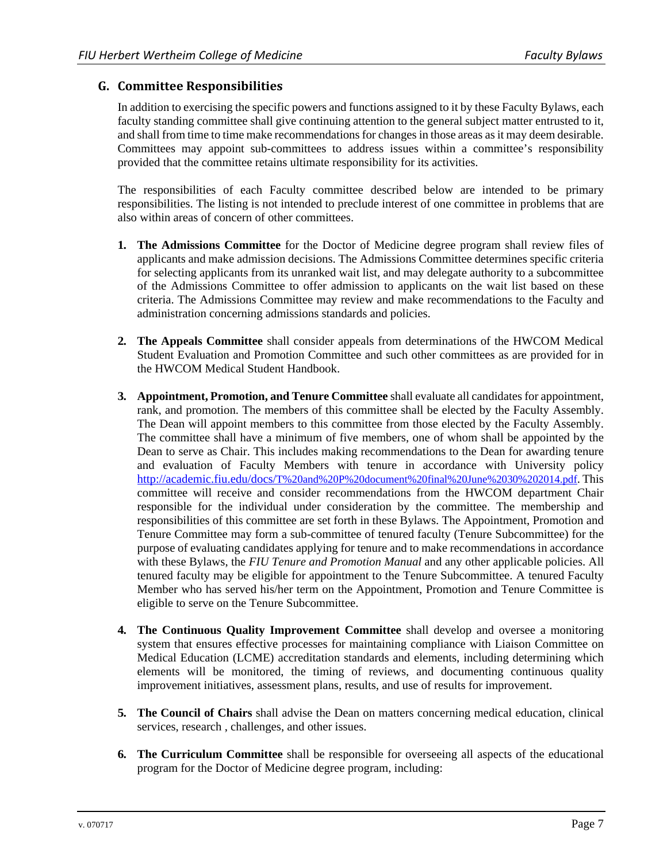#### **G. Committee Responsibilities**

In addition to exercising the specific powers and functions assigned to it by these Faculty Bylaws, each faculty standing committee shall give continuing attention to the general subject matter entrusted to it, and shall from time to time make recommendations for changes in those areas as it may deem desirable. Committees may appoint sub-committees to address issues within a committee's responsibility provided that the committee retains ultimate responsibility for its activities.

The responsibilities of each Faculty committee described below are intended to be primary responsibilities. The listing is not intended to preclude interest of one committee in problems that are also within areas of concern of other committees.

- **1. The Admissions Committee** for the Doctor of Medicine degree program shall review files of applicants and make admission decisions. The Admissions Committee determines specific criteria for selecting applicants from its unranked wait list, and may delegate authority to a subcommittee of the Admissions Committee to offer admission to applicants on the wait list based on these criteria. The Admissions Committee may review and make recommendations to the Faculty and administration concerning admissions standards and policies.
- **2. The Appeals Committee** shall consider appeals from determinations of the HWCOM Medical Student Evaluation and Promotion Committee and such other committees as are provided for in the HWCOM Medical Student Handbook.
- **3. Appointment, Promotion, and Tenure Committee** shall evaluate all candidates for appointment, rank, and promotion. The members of this committee shall be elected by the Faculty Assembly. The Dean will appoint members to this committee from those elected by the Faculty Assembly. The committee shall have a minimum of five members, one of whom shall be appointed by the Dean to serve as Chair. This includes making recommendations to the Dean for awarding tenure and evaluation of Faculty Members with tenure in accordance with University policy http://academic.fiu.edu/docs/T%20and%20P%20document%20final%20June%2030%202014.pdf. This committee will receive and consider recommendations from the HWCOM department Chair responsible for the individual under consideration by the committee. The membership and responsibilities of this committee are set forth in these Bylaws. The Appointment, Promotion and Tenure Committee may form a sub-committee of tenured faculty (Tenure Subcommittee) for the purpose of evaluating candidates applying for tenure and to make recommendations in accordance with these Bylaws, the *FIU Tenure and Promotion Manual* and any other applicable policies. All tenured faculty may be eligible for appointment to the Tenure Subcommittee. A tenured Faculty Member who has served his/her term on the Appointment, Promotion and Tenure Committee is eligible to serve on the Tenure Subcommittee.
- **4. The Continuous Quality Improvement Committee** shall develop and oversee a monitoring system that ensures effective processes for maintaining compliance with Liaison Committee on Medical Education (LCME) accreditation standards and elements, including determining which elements will be monitored, the timing of reviews, and documenting continuous quality improvement initiatives, assessment plans, results, and use of results for improvement.
- **5. The Council of Chairs** shall advise the Dean on matters concerning medical education, clinical services, research , challenges, and other issues.
- **6. The Curriculum Committee** shall be responsible for overseeing all aspects of the educational program for the Doctor of Medicine degree program, including: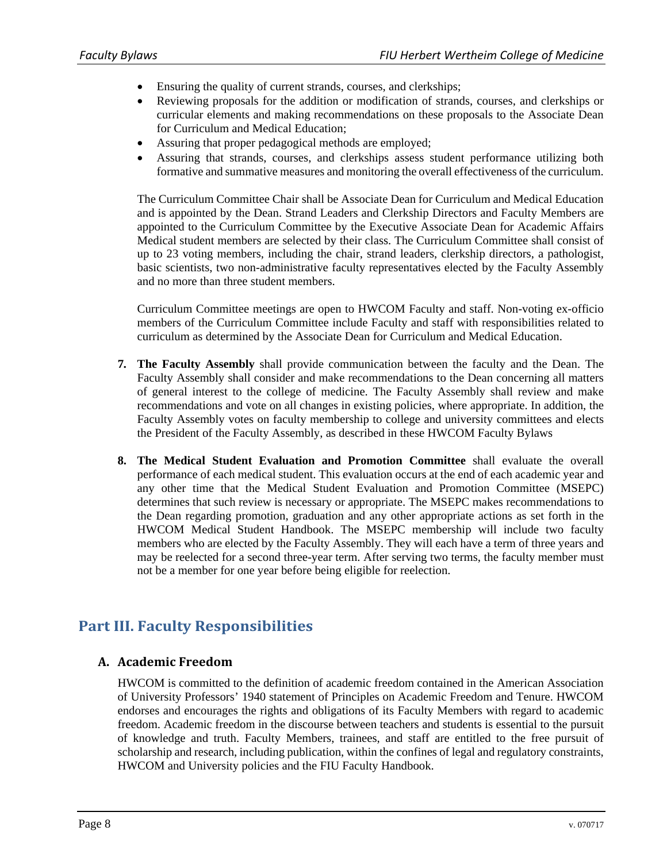- Ensuring the quality of current strands, courses, and clerkships;
- Reviewing proposals for the addition or modification of strands, courses, and clerkships or curricular elements and making recommendations on these proposals to the Associate Dean for Curriculum and Medical Education;
- Assuring that proper pedagogical methods are employed;
- Assuring that strands, courses, and clerkships assess student performance utilizing both formative and summative measures and monitoring the overall effectiveness of the curriculum.

The Curriculum Committee Chair shall be Associate Dean for Curriculum and Medical Education and is appointed by the Dean. Strand Leaders and Clerkship Directors and Faculty Members are appointed to the Curriculum Committee by the Executive Associate Dean for Academic Affairs Medical student members are selected by their class. The Curriculum Committee shall consist of up to 23 voting members, including the chair, strand leaders, clerkship directors, a pathologist, basic scientists, two non-administrative faculty representatives elected by the Faculty Assembly and no more than three student members.

Curriculum Committee meetings are open to HWCOM Faculty and staff. Non-voting ex-officio members of the Curriculum Committee include Faculty and staff with responsibilities related to curriculum as determined by the Associate Dean for Curriculum and Medical Education.

- **7. The Faculty Assembly** shall provide communication between the faculty and the Dean. The Faculty Assembly shall consider and make recommendations to the Dean concerning all matters of general interest to the college of medicine. The Faculty Assembly shall review and make recommendations and vote on all changes in existing policies, where appropriate. In addition, the Faculty Assembly votes on faculty membership to college and university committees and elects the President of the Faculty Assembly, as described in these HWCOM Faculty Bylaws
- **8. The Medical Student Evaluation and Promotion Committee** shall evaluate the overall performance of each medical student. This evaluation occurs at the end of each academic year and any other time that the Medical Student Evaluation and Promotion Committee (MSEPC) determines that such review is necessary or appropriate. The MSEPC makes recommendations to the Dean regarding promotion, graduation and any other appropriate actions as set forth in the HWCOM Medical Student Handbook. The MSEPC membership will include two faculty members who are elected by the Faculty Assembly. They will each have a term of three years and may be reelected for a second three-year term. After serving two terms, the faculty member must not be a member for one year before being eligible for reelection.

# **Part III. Faculty Responsibilities**

# **A. Academic Freedom**

HWCOM is committed to the definition of academic freedom contained in the American Association of University Professors' 1940 statement of Principles on Academic Freedom and Tenure. HWCOM endorses and encourages the rights and obligations of its Faculty Members with regard to academic freedom. Academic freedom in the discourse between teachers and students is essential to the pursuit of knowledge and truth. Faculty Members, trainees, and staff are entitled to the free pursuit of scholarship and research, including publication, within the confines of legal and regulatory constraints, HWCOM and University policies and the FIU Faculty Handbook.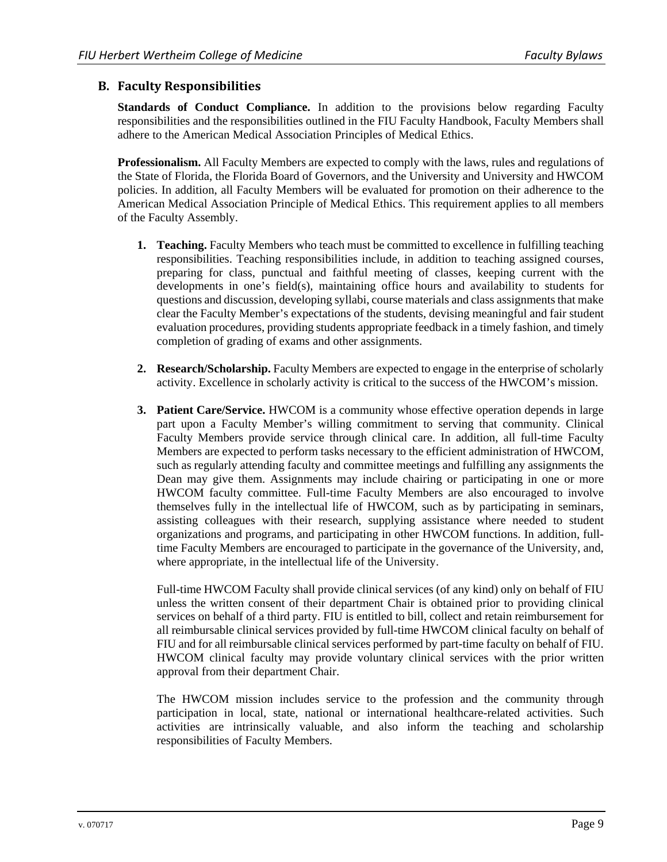#### **B. Faculty Responsibilities**

**Standards of Conduct Compliance.** In addition to the provisions below regarding Faculty responsibilities and the responsibilities outlined in the FIU Faculty Handbook, Faculty Members shall adhere to the American Medical Association Principles of Medical Ethics.

**Professionalism.** All Faculty Members are expected to comply with the laws, rules and regulations of the State of Florida, the Florida Board of Governors, and the University and University and HWCOM policies. In addition, all Faculty Members will be evaluated for promotion on their adherence to the American Medical Association Principle of Medical Ethics. This requirement applies to all members of the Faculty Assembly.

- **1. Teaching.** Faculty Members who teach must be committed to excellence in fulfilling teaching responsibilities. Teaching responsibilities include, in addition to teaching assigned courses, preparing for class, punctual and faithful meeting of classes, keeping current with the developments in one's field(s), maintaining office hours and availability to students for questions and discussion, developing syllabi, course materials and class assignments that make clear the Faculty Member's expectations of the students, devising meaningful and fair student evaluation procedures, providing students appropriate feedback in a timely fashion, and timely completion of grading of exams and other assignments.
- **2. Research/Scholarship.** Faculty Members are expected to engage in the enterprise of scholarly activity. Excellence in scholarly activity is critical to the success of the HWCOM's mission.
- **3. Patient Care/Service.** HWCOM is a community whose effective operation depends in large part upon a Faculty Member's willing commitment to serving that community. Clinical Faculty Members provide service through clinical care. In addition, all full-time Faculty Members are expected to perform tasks necessary to the efficient administration of HWCOM, such as regularly attending faculty and committee meetings and fulfilling any assignments the Dean may give them. Assignments may include chairing or participating in one or more HWCOM faculty committee. Full-time Faculty Members are also encouraged to involve themselves fully in the intellectual life of HWCOM, such as by participating in seminars, assisting colleagues with their research, supplying assistance where needed to student organizations and programs, and participating in other HWCOM functions. In addition, fulltime Faculty Members are encouraged to participate in the governance of the University, and, where appropriate, in the intellectual life of the University.

Full-time HWCOM Faculty shall provide clinical services (of any kind) only on behalf of FIU unless the written consent of their department Chair is obtained prior to providing clinical services on behalf of a third party. FIU is entitled to bill, collect and retain reimbursement for all reimbursable clinical services provided by full-time HWCOM clinical faculty on behalf of FIU and for all reimbursable clinical services performed by part-time faculty on behalf of FIU. HWCOM clinical faculty may provide voluntary clinical services with the prior written approval from their department Chair.

The HWCOM mission includes service to the profession and the community through participation in local, state, national or international healthcare-related activities. Such activities are intrinsically valuable, and also inform the teaching and scholarship responsibilities of Faculty Members.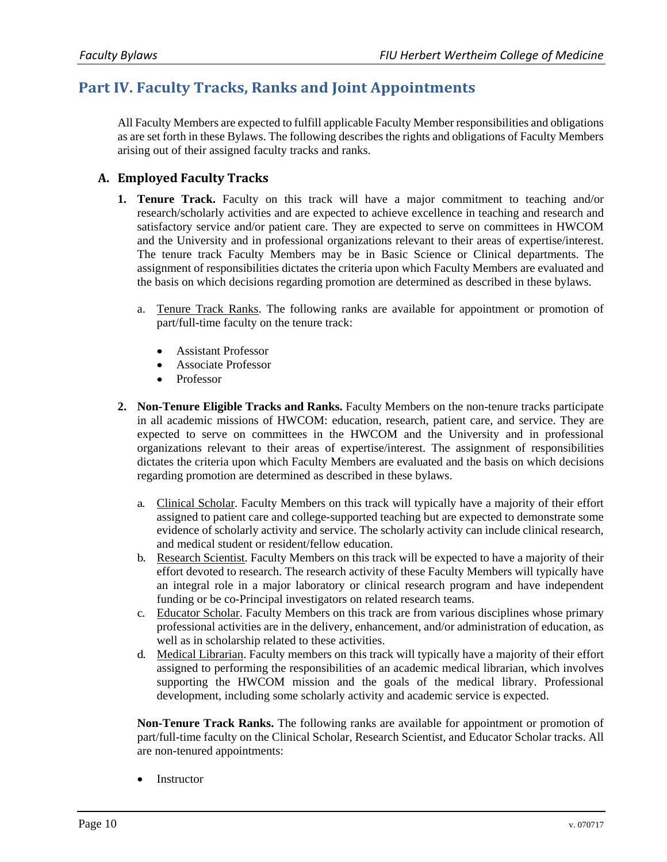# **Part IV. Faculty Tracks, Ranks and Joint Appointments**

All Faculty Members are expected to fulfill applicable Faculty Member responsibilities and obligations as are set forth in these Bylaws. The following describes the rights and obligations of Faculty Members arising out of their assigned faculty tracks and ranks.

# **A. Employed Faculty Tracks**

- **1. Tenure Track.** Faculty on this track will have a major commitment to teaching and/or research/scholarly activities and are expected to achieve excellence in teaching and research and satisfactory service and/or patient care. They are expected to serve on committees in HWCOM and the University and in professional organizations relevant to their areas of expertise/interest. The tenure track Faculty Members may be in Basic Science or Clinical departments. The assignment of responsibilities dictates the criteria upon which Faculty Members are evaluated and the basis on which decisions regarding promotion are determined as described in these bylaws.
	- a. Tenure Track Ranks. The following ranks are available for appointment or promotion of part/full-time faculty on the tenure track:
		- Assistant Professor
		- Associate Professor
		- Professor
- **2. Non-Tenure Eligible Tracks and Ranks.** Faculty Members on the non-tenure tracks participate in all academic missions of HWCOM: education, research, patient care, and service. They are expected to serve on committees in the HWCOM and the University and in professional organizations relevant to their areas of expertise/interest. The assignment of responsibilities dictates the criteria upon which Faculty Members are evaluated and the basis on which decisions regarding promotion are determined as described in these bylaws.
	- a. Clinical Scholar. Faculty Members on this track will typically have a majority of their effort assigned to patient care and college-supported teaching but are expected to demonstrate some evidence of scholarly activity and service. The scholarly activity can include clinical research, and medical student or resident/fellow education.
	- b. Research Scientist. Faculty Members on this track will be expected to have a majority of their effort devoted to research. The research activity of these Faculty Members will typically have an integral role in a major laboratory or clinical research program and have independent funding or be co-Principal investigators on related research teams.
	- c. Educator Scholar. Faculty Members on this track are from various disciplines whose primary professional activities are in the delivery, enhancement, and/or administration of education, as well as in scholarship related to these activities.
	- d. Medical Librarian. Faculty members on this track will typically have a majority of their effort assigned to performing the responsibilities of an academic medical librarian, which involves supporting the HWCOM mission and the goals of the medical library. Professional development, including some scholarly activity and academic service is expected.

**Non-Tenure Track Ranks.** The following ranks are available for appointment or promotion of part/full-time faculty on the Clinical Scholar, Research Scientist, and Educator Scholar tracks. All are non-tenured appointments:

Instructor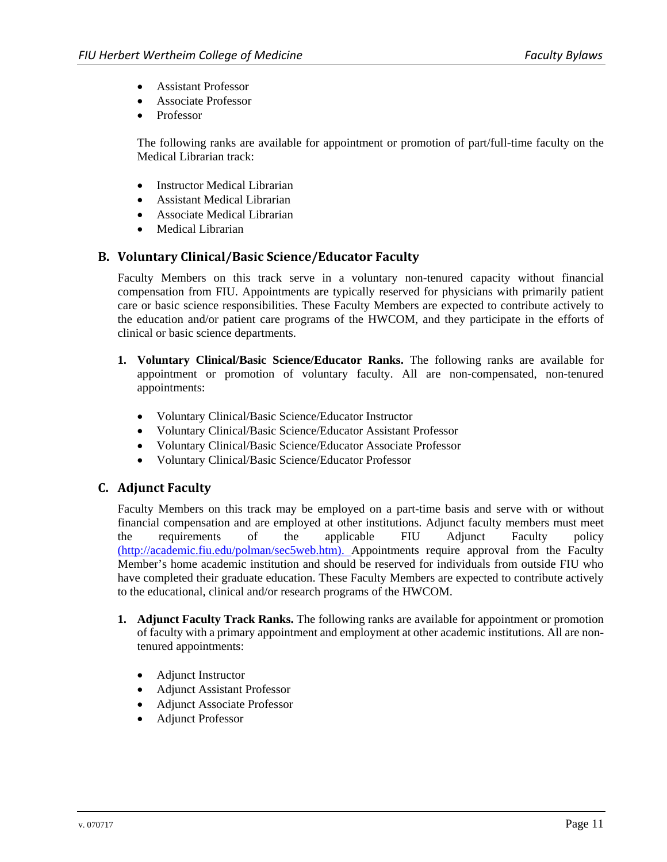- Assistant Professor
- Associate Professor
- Professor

The following ranks are available for appointment or promotion of part/full-time faculty on the Medical Librarian track:

- Instructor Medical Librarian
- Assistant Medical Librarian
- Associate Medical Librarian
- Medical Librarian

#### **B. Voluntary Clinical/Basic Science/Educator Faculty**

Faculty Members on this track serve in a voluntary non-tenured capacity without financial compensation from FIU. Appointments are typically reserved for physicians with primarily patient care or basic science responsibilities. These Faculty Members are expected to contribute actively to the education and/or patient care programs of the HWCOM, and they participate in the efforts of clinical or basic science departments.

- **1. Voluntary Clinical/Basic Science/Educator Ranks.** The following ranks are available for appointment or promotion of voluntary faculty. All are non-compensated, non-tenured appointments:
	- Voluntary Clinical/Basic Science/Educator Instructor
	- Voluntary Clinical/Basic Science/Educator Assistant Professor
	- Voluntary Clinical/Basic Science/Educator Associate Professor
	- Voluntary Clinical/Basic Science/Educator Professor

#### **C. Adjunct Faculty**

Faculty Members on this track may be employed on a part-time basis and serve with or without financial compensation and are employed at other institutions. Adjunct faculty members must meet the requirements of the applicable FIU Adjunct Faculty policy (http://academic.fiu.edu/polman/sec5web.htm). Appointments require approval from the Faculty Member's home academic institution and should be reserved for individuals from outside FIU who have completed their graduate education. These Faculty Members are expected to contribute actively to the educational, clinical and/or research programs of the HWCOM.

- **1. Adjunct Faculty Track Ranks.** The following ranks are available for appointment or promotion of faculty with a primary appointment and employment at other academic institutions. All are nontenured appointments:
	- Adjunct Instructor
	- Adjunct Assistant Professor
	- Adjunct Associate Professor
	- Adjunct Professor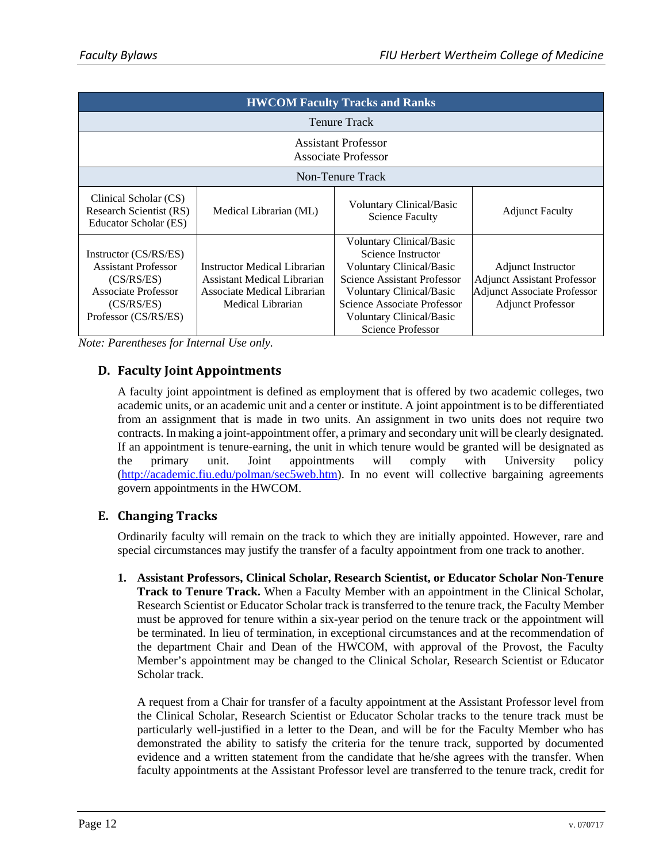| <b>HWCOM Faculty Tracks and Ranks</b>                                                                                          |                                                                                                                 |                                                                                                                                                                                                                                            |                                                                                                                                   |  |
|--------------------------------------------------------------------------------------------------------------------------------|-----------------------------------------------------------------------------------------------------------------|--------------------------------------------------------------------------------------------------------------------------------------------------------------------------------------------------------------------------------------------|-----------------------------------------------------------------------------------------------------------------------------------|--|
| <b>Tenure Track</b>                                                                                                            |                                                                                                                 |                                                                                                                                                                                                                                            |                                                                                                                                   |  |
| <b>Assistant Professor</b><br>Associate Professor                                                                              |                                                                                                                 |                                                                                                                                                                                                                                            |                                                                                                                                   |  |
| Non-Tenure Track                                                                                                               |                                                                                                                 |                                                                                                                                                                                                                                            |                                                                                                                                   |  |
| Clinical Scholar (CS)<br>Research Scientist (RS)<br>Educator Scholar (ES)                                                      | Medical Librarian (ML)                                                                                          | <b>Voluntary Clinical/Basic</b><br><b>Science Faculty</b>                                                                                                                                                                                  | <b>Adjunct Faculty</b>                                                                                                            |  |
| Instructor (CS/RS/ES)<br><b>Assistant Professor</b><br>(CS/RS/ES)<br>Associate Professor<br>(CS/RS/ES)<br>Professor (CS/RS/ES) | Instructor Medical Librarian<br>Assistant Medical Librarian<br>Associate Medical Librarian<br>Medical Librarian | <b>Voluntary Clinical/Basic</b><br>Science Instructor<br><b>Voluntary Clinical/Basic</b><br>Science Assistant Professor<br>Voluntary Clinical/Basic<br>Science Associate Professor<br><b>Voluntary Clinical/Basic</b><br>Science Professor | <b>Adjunct Instructor</b><br><b>Adjunct Assistant Professor</b><br><b>Adjunct Associate Professor</b><br><b>Adjunct Professor</b> |  |

*Note: Parentheses for Internal Use only.* 

# **D. Faculty Joint Appointments**

A faculty joint appointment is defined as employment that is offered by two academic colleges, two academic units, or an academic unit and a center or institute. A joint appointment is to be differentiated from an assignment that is made in two units. An assignment in two units does not require two contracts. In making a joint-appointment offer, a primary and secondary unit will be clearly designated. If an appointment is tenure-earning, the unit in which tenure would be granted will be designated as the primary unit. Joint appointments will comply with University policy (http://academic.fiu.edu/polman/sec5web.htm). In no event will collective bargaining agreements govern appointments in the HWCOM.

# **E. Changing Tracks**

Ordinarily faculty will remain on the track to which they are initially appointed. However, rare and special circumstances may justify the transfer of a faculty appointment from one track to another.

**1. Assistant Professors, Clinical Scholar, Research Scientist, or Educator Scholar Non-Tenure Track to Tenure Track.** When a Faculty Member with an appointment in the Clinical Scholar, Research Scientist or Educator Scholar track is transferred to the tenure track, the Faculty Member must be approved for tenure within a six-year period on the tenure track or the appointment will be terminated. In lieu of termination, in exceptional circumstances and at the recommendation of the department Chair and Dean of the HWCOM, with approval of the Provost, the Faculty Member's appointment may be changed to the Clinical Scholar, Research Scientist or Educator Scholar track.

A request from a Chair for transfer of a faculty appointment at the Assistant Professor level from the Clinical Scholar, Research Scientist or Educator Scholar tracks to the tenure track must be particularly well-justified in a letter to the Dean, and will be for the Faculty Member who has demonstrated the ability to satisfy the criteria for the tenure track, supported by documented evidence and a written statement from the candidate that he/she agrees with the transfer. When faculty appointments at the Assistant Professor level are transferred to the tenure track, credit for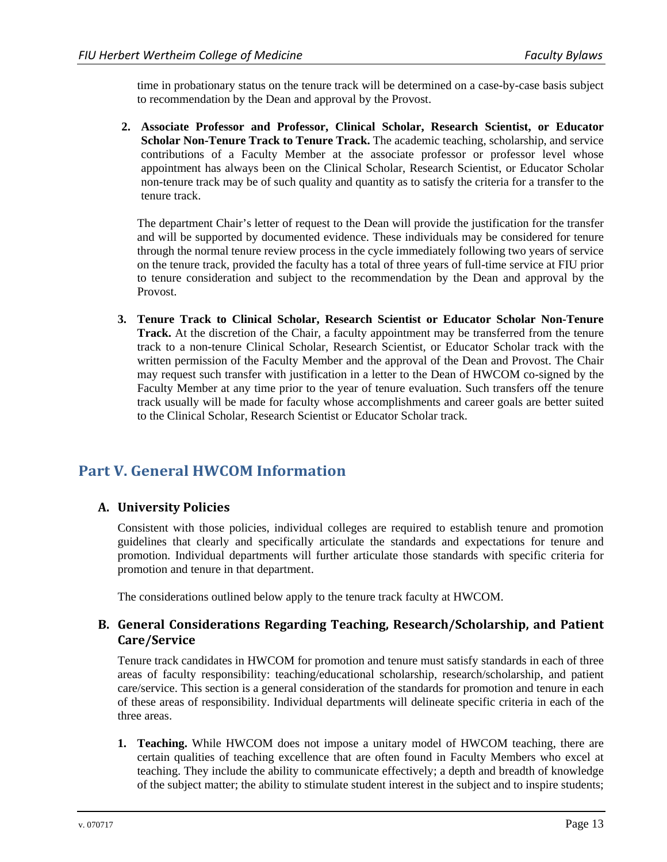time in probationary status on the tenure track will be determined on a case-by-case basis subject to recommendation by the Dean and approval by the Provost.

**2. Associate Professor and Professor, Clinical Scholar, Research Scientist, or Educator Scholar Non-Tenure Track to Tenure Track.** The academic teaching, scholarship, and service contributions of a Faculty Member at the associate professor or professor level whose appointment has always been on the Clinical Scholar, Research Scientist, or Educator Scholar non-tenure track may be of such quality and quantity as to satisfy the criteria for a transfer to the tenure track.

The department Chair's letter of request to the Dean will provide the justification for the transfer and will be supported by documented evidence. These individuals may be considered for tenure through the normal tenure review process in the cycle immediately following two years of service on the tenure track, provided the faculty has a total of three years of full-time service at FIU prior to tenure consideration and subject to the recommendation by the Dean and approval by the Provost.

**3. Tenure Track to Clinical Scholar, Research Scientist or Educator Scholar Non-Tenure Track.** At the discretion of the Chair, a faculty appointment may be transferred from the tenure track to a non-tenure Clinical Scholar, Research Scientist, or Educator Scholar track with the written permission of the Faculty Member and the approval of the Dean and Provost. The Chair may request such transfer with justification in a letter to the Dean of HWCOM co-signed by the Faculty Member at any time prior to the year of tenure evaluation. Such transfers off the tenure track usually will be made for faculty whose accomplishments and career goals are better suited to the Clinical Scholar, Research Scientist or Educator Scholar track.

# **Part V. General HWCOM Information**

# **A. University Policies**

Consistent with those policies, individual colleges are required to establish tenure and promotion guidelines that clearly and specifically articulate the standards and expectations for tenure and promotion. Individual departments will further articulate those standards with specific criteria for promotion and tenure in that department.

The considerations outlined below apply to the tenure track faculty at HWCOM.

### **B. General Considerations Regarding Teaching, Research/Scholarship, and Patient Care/Service**

Tenure track candidates in HWCOM for promotion and tenure must satisfy standards in each of three areas of faculty responsibility: teaching/educational scholarship, research/scholarship, and patient care/service. This section is a general consideration of the standards for promotion and tenure in each of these areas of responsibility. Individual departments will delineate specific criteria in each of the three areas.

**1. Teaching.** While HWCOM does not impose a unitary model of HWCOM teaching, there are certain qualities of teaching excellence that are often found in Faculty Members who excel at teaching. They include the ability to communicate effectively; a depth and breadth of knowledge of the subject matter; the ability to stimulate student interest in the subject and to inspire students;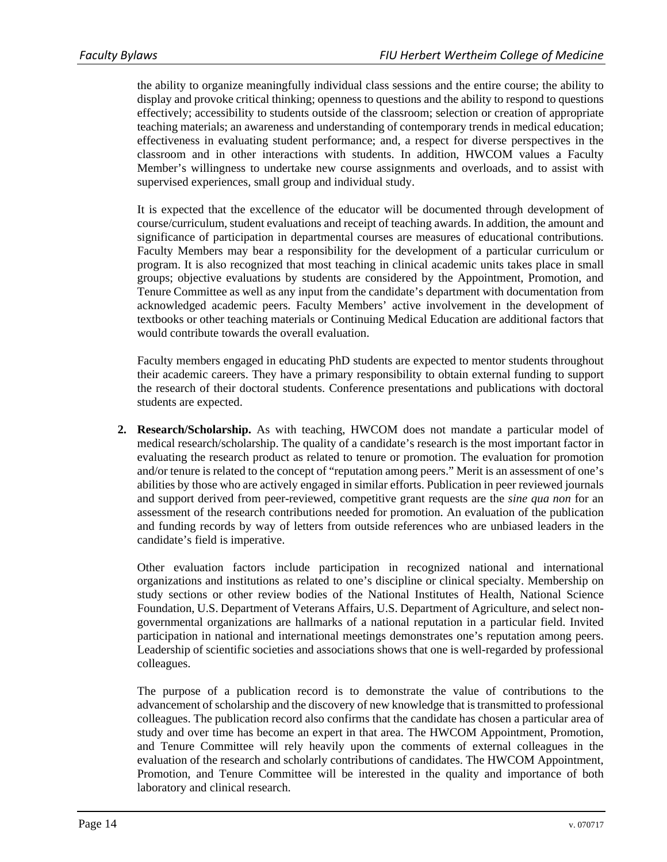the ability to organize meaningfully individual class sessions and the entire course; the ability to display and provoke critical thinking; openness to questions and the ability to respond to questions effectively; accessibility to students outside of the classroom; selection or creation of appropriate teaching materials; an awareness and understanding of contemporary trends in medical education; effectiveness in evaluating student performance; and, a respect for diverse perspectives in the classroom and in other interactions with students. In addition, HWCOM values a Faculty Member's willingness to undertake new course assignments and overloads, and to assist with supervised experiences, small group and individual study.

It is expected that the excellence of the educator will be documented through development of course/curriculum, student evaluations and receipt of teaching awards. In addition, the amount and significance of participation in departmental courses are measures of educational contributions. Faculty Members may bear a responsibility for the development of a particular curriculum or program. It is also recognized that most teaching in clinical academic units takes place in small groups; objective evaluations by students are considered by the Appointment, Promotion, and Tenure Committee as well as any input from the candidate's department with documentation from acknowledged academic peers. Faculty Members' active involvement in the development of textbooks or other teaching materials or Continuing Medical Education are additional factors that would contribute towards the overall evaluation.

Faculty members engaged in educating PhD students are expected to mentor students throughout their academic careers. They have a primary responsibility to obtain external funding to support the research of their doctoral students. Conference presentations and publications with doctoral students are expected.

**2. Research/Scholarship.** As with teaching, HWCOM does not mandate a particular model of medical research/scholarship. The quality of a candidate's research is the most important factor in evaluating the research product as related to tenure or promotion. The evaluation for promotion and/or tenure is related to the concept of "reputation among peers." Merit is an assessment of one's abilities by those who are actively engaged in similar efforts. Publication in peer reviewed journals and support derived from peer-reviewed, competitive grant requests are the *sine qua non* for an assessment of the research contributions needed for promotion. An evaluation of the publication and funding records by way of letters from outside references who are unbiased leaders in the candidate's field is imperative.

Other evaluation factors include participation in recognized national and international organizations and institutions as related to one's discipline or clinical specialty. Membership on study sections or other review bodies of the National Institutes of Health, National Science Foundation, U.S. Department of Veterans Affairs, U.S. Department of Agriculture, and select nongovernmental organizations are hallmarks of a national reputation in a particular field. Invited participation in national and international meetings demonstrates one's reputation among peers. Leadership of scientific societies and associations shows that one is well-regarded by professional colleagues.

The purpose of a publication record is to demonstrate the value of contributions to the advancement of scholarship and the discovery of new knowledge that is transmitted to professional colleagues. The publication record also confirms that the candidate has chosen a particular area of study and over time has become an expert in that area. The HWCOM Appointment, Promotion, and Tenure Committee will rely heavily upon the comments of external colleagues in the evaluation of the research and scholarly contributions of candidates. The HWCOM Appointment, Promotion, and Tenure Committee will be interested in the quality and importance of both laboratory and clinical research.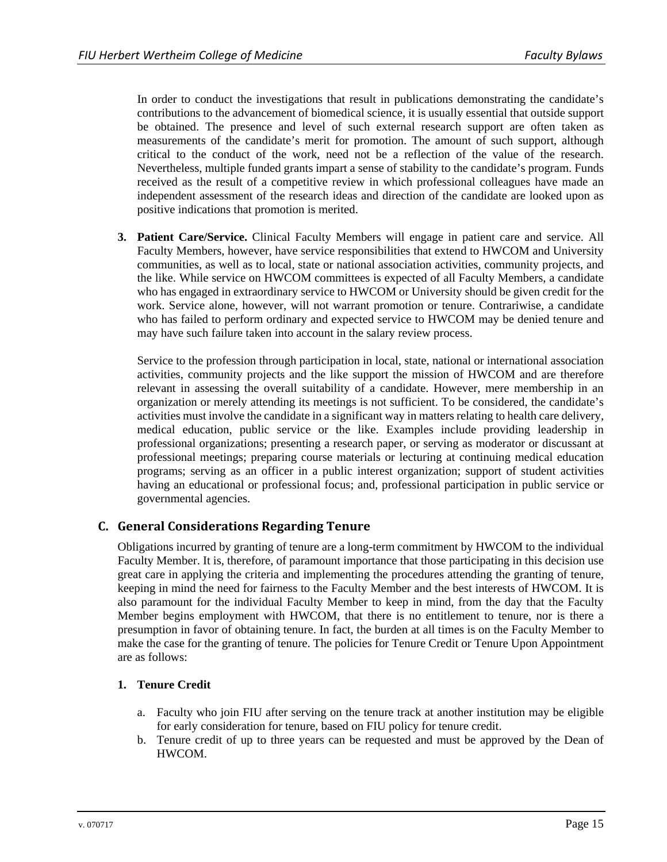In order to conduct the investigations that result in publications demonstrating the candidate's contributions to the advancement of biomedical science, it is usually essential that outside support be obtained. The presence and level of such external research support are often taken as measurements of the candidate's merit for promotion. The amount of such support, although critical to the conduct of the work, need not be a reflection of the value of the research. Nevertheless, multiple funded grants impart a sense of stability to the candidate's program. Funds received as the result of a competitive review in which professional colleagues have made an independent assessment of the research ideas and direction of the candidate are looked upon as positive indications that promotion is merited.

**3. Patient Care/Service.** Clinical Faculty Members will engage in patient care and service. All Faculty Members, however, have service responsibilities that extend to HWCOM and University communities, as well as to local, state or national association activities, community projects, and the like. While service on HWCOM committees is expected of all Faculty Members, a candidate who has engaged in extraordinary service to HWCOM or University should be given credit for the work. Service alone, however, will not warrant promotion or tenure. Contrariwise, a candidate who has failed to perform ordinary and expected service to HWCOM may be denied tenure and may have such failure taken into account in the salary review process.

Service to the profession through participation in local, state, national or international association activities, community projects and the like support the mission of HWCOM and are therefore relevant in assessing the overall suitability of a candidate. However, mere membership in an organization or merely attending its meetings is not sufficient. To be considered, the candidate's activities must involve the candidate in a significant way in matters relating to health care delivery, medical education, public service or the like. Examples include providing leadership in professional organizations; presenting a research paper, or serving as moderator or discussant at professional meetings; preparing course materials or lecturing at continuing medical education programs; serving as an officer in a public interest organization; support of student activities having an educational or professional focus; and, professional participation in public service or governmental agencies.

# **C. General Considerations Regarding Tenure**

Obligations incurred by granting of tenure are a long-term commitment by HWCOM to the individual Faculty Member. It is, therefore, of paramount importance that those participating in this decision use great care in applying the criteria and implementing the procedures attending the granting of tenure, keeping in mind the need for fairness to the Faculty Member and the best interests of HWCOM. It is also paramount for the individual Faculty Member to keep in mind, from the day that the Faculty Member begins employment with HWCOM, that there is no entitlement to tenure, nor is there a presumption in favor of obtaining tenure. In fact, the burden at all times is on the Faculty Member to make the case for the granting of tenure. The policies for Tenure Credit or Tenure Upon Appointment are as follows:

#### **1. Tenure Credit**

- a. Faculty who join FIU after serving on the tenure track at another institution may be eligible for early consideration for tenure, based on FIU policy for tenure credit.
- b. Tenure credit of up to three years can be requested and must be approved by the Dean of HWCOM.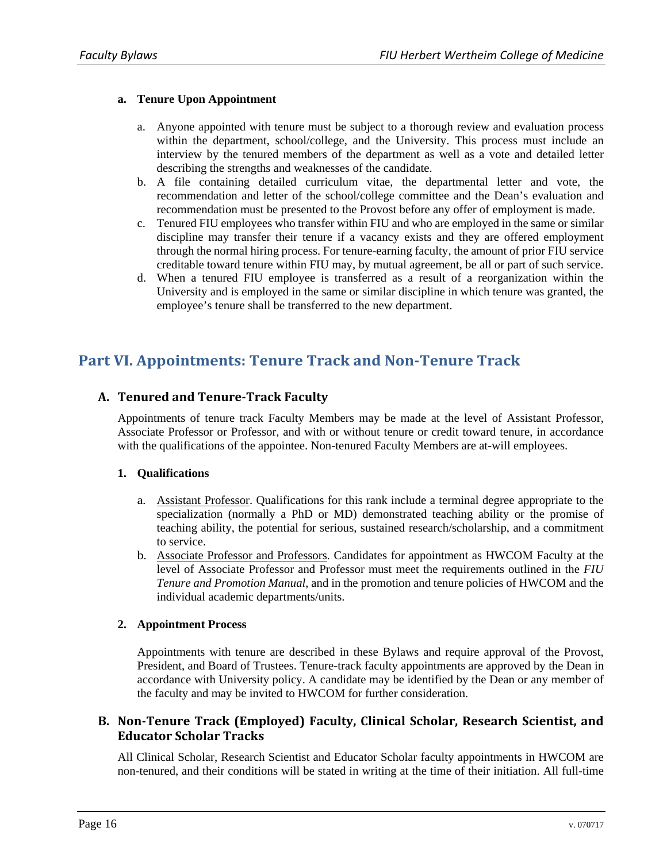#### **a. Tenure Upon Appointment**

- a. Anyone appointed with tenure must be subject to a thorough review and evaluation process within the department, school/college, and the University. This process must include an interview by the tenured members of the department as well as a vote and detailed letter describing the strengths and weaknesses of the candidate.
- b. A file containing detailed curriculum vitae, the departmental letter and vote, the recommendation and letter of the school/college committee and the Dean's evaluation and recommendation must be presented to the Provost before any offer of employment is made.
- c. Tenured FIU employees who transfer within FIU and who are employed in the same or similar discipline may transfer their tenure if a vacancy exists and they are offered employment through the normal hiring process. For tenure-earning faculty, the amount of prior FIU service creditable toward tenure within FIU may, by mutual agreement, be all or part of such service.
- d. When a tenured FIU employee is transferred as a result of a reorganization within the University and is employed in the same or similar discipline in which tenure was granted, the employee's tenure shall be transferred to the new department.

# **Part VI. Appointments: Tenure Track and Non‐Tenure Track**

# **A. Tenured and Tenure‐Track Faculty**

Appointments of tenure track Faculty Members may be made at the level of Assistant Professor, Associate Professor or Professor, and with or without tenure or credit toward tenure, in accordance with the qualifications of the appointee. Non-tenured Faculty Members are at-will employees.

#### **1. Qualifications**

- a. Assistant Professor. Qualifications for this rank include a terminal degree appropriate to the specialization (normally a PhD or MD) demonstrated teaching ability or the promise of teaching ability, the potential for serious, sustained research/scholarship, and a commitment to service.
- b. Associate Professor and Professors. Candidates for appointment as HWCOM Faculty at the level of Associate Professor and Professor must meet the requirements outlined in the *FIU Tenure and Promotion Manual*, and in the promotion and tenure policies of HWCOM and the individual academic departments/units.

#### **2. Appointment Process**

Appointments with tenure are described in these Bylaws and require approval of the Provost, President, and Board of Trustees. Tenure-track faculty appointments are approved by the Dean in accordance with University policy. A candidate may be identified by the Dean or any member of the faculty and may be invited to HWCOM for further consideration.

### **B. Non‐Tenure Track (Employed) Faculty, Clinical Scholar, Research Scientist, and Educator Scholar Tracks**

All Clinical Scholar, Research Scientist and Educator Scholar faculty appointments in HWCOM are non-tenured, and their conditions will be stated in writing at the time of their initiation. All full-time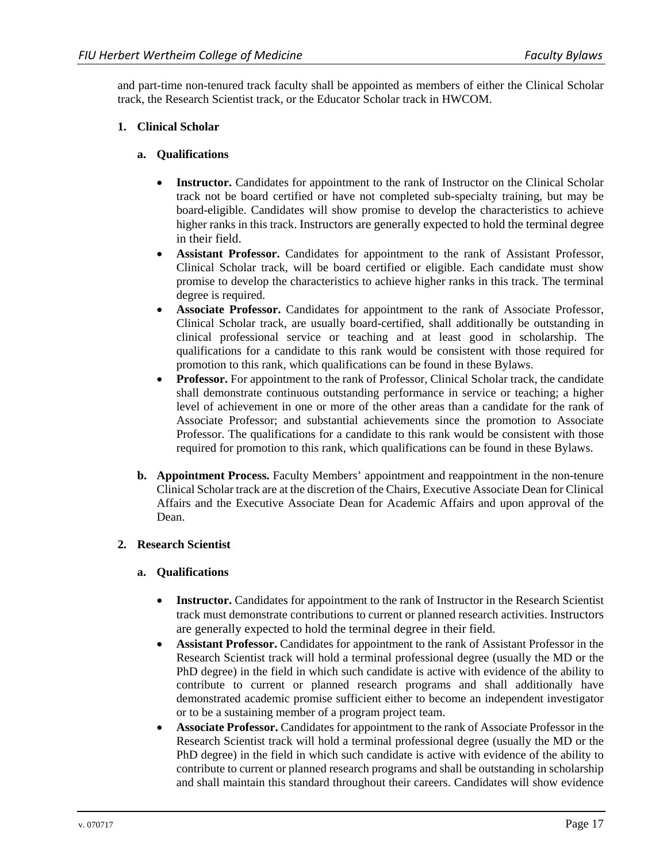and part-time non-tenured track faculty shall be appointed as members of either the Clinical Scholar track, the Research Scientist track, or the Educator Scholar track in HWCOM.

#### **1. Clinical Scholar**

#### **a. Qualifications**

- **Instructor.** Candidates for appointment to the rank of Instructor on the Clinical Scholar track not be board certified or have not completed sub-specialty training, but may be board-eligible. Candidates will show promise to develop the characteristics to achieve higher ranks in this track. Instructors are generally expected to hold the terminal degree in their field.
- **Assistant Professor.** Candidates for appointment to the rank of Assistant Professor, Clinical Scholar track, will be board certified or eligible. Each candidate must show promise to develop the characteristics to achieve higher ranks in this track. The terminal degree is required.
- **Associate Professor.** Candidates for appointment to the rank of Associate Professor, Clinical Scholar track, are usually board-certified, shall additionally be outstanding in clinical professional service or teaching and at least good in scholarship. The qualifications for a candidate to this rank would be consistent with those required for promotion to this rank, which qualifications can be found in these Bylaws.
- **Professor.** For appointment to the rank of Professor, Clinical Scholar track, the candidate shall demonstrate continuous outstanding performance in service or teaching; a higher level of achievement in one or more of the other areas than a candidate for the rank of Associate Professor; and substantial achievements since the promotion to Associate Professor. The qualifications for a candidate to this rank would be consistent with those required for promotion to this rank, which qualifications can be found in these Bylaws.
- **b. Appointment Process.** Faculty Members' appointment and reappointment in the non-tenure Clinical Scholar track are at the discretion of the Chairs, Executive Associate Dean for Clinical Affairs and the Executive Associate Dean for Academic Affairs and upon approval of the Dean.

#### **2. Research Scientist**

#### **a. Qualifications**

- **Instructor.** Candidates for appointment to the rank of Instructor in the Research Scientist track must demonstrate contributions to current or planned research activities. Instructors are generally expected to hold the terminal degree in their field.
- **Assistant Professor.** Candidates for appointment to the rank of Assistant Professor in the Research Scientist track will hold a terminal professional degree (usually the MD or the PhD degree) in the field in which such candidate is active with evidence of the ability to contribute to current or planned research programs and shall additionally have demonstrated academic promise sufficient either to become an independent investigator or to be a sustaining member of a program project team.
- **Associate Professor.** Candidates for appointment to the rank of Associate Professor in the Research Scientist track will hold a terminal professional degree (usually the MD or the PhD degree) in the field in which such candidate is active with evidence of the ability to contribute to current or planned research programs and shall be outstanding in scholarship and shall maintain this standard throughout their careers. Candidates will show evidence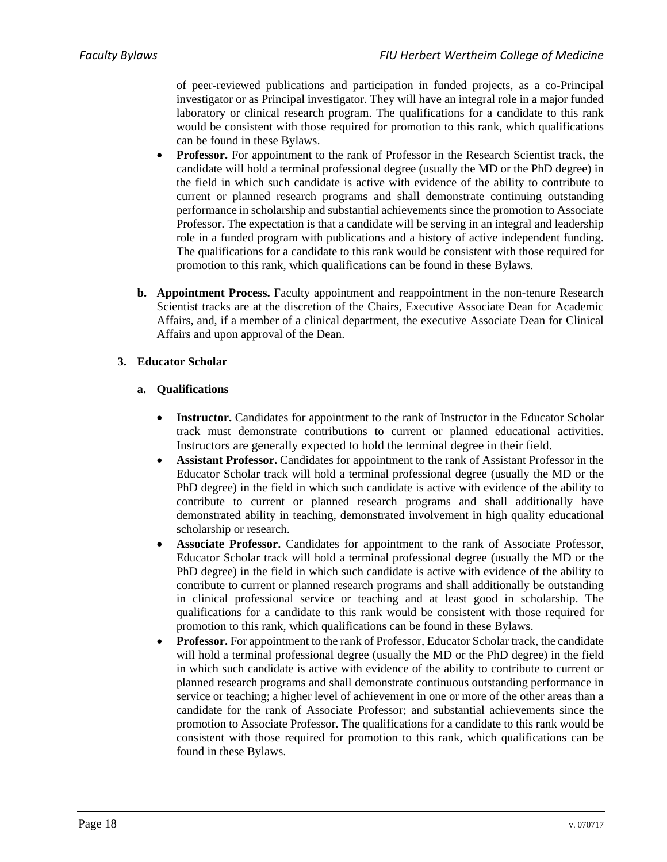of peer-reviewed publications and participation in funded projects, as a co-Principal investigator or as Principal investigator. They will have an integral role in a major funded laboratory or clinical research program. The qualifications for a candidate to this rank would be consistent with those required for promotion to this rank, which qualifications can be found in these Bylaws.

- **Professor.** For appointment to the rank of Professor in the Research Scientist track, the candidate will hold a terminal professional degree (usually the MD or the PhD degree) in the field in which such candidate is active with evidence of the ability to contribute to current or planned research programs and shall demonstrate continuing outstanding performance in scholarship and substantial achievements since the promotion to Associate Professor. The expectation is that a candidate will be serving in an integral and leadership role in a funded program with publications and a history of active independent funding. The qualifications for a candidate to this rank would be consistent with those required for promotion to this rank, which qualifications can be found in these Bylaws.
- **b. Appointment Process.** Faculty appointment and reappointment in the non-tenure Research Scientist tracks are at the discretion of the Chairs, Executive Associate Dean for Academic Affairs, and, if a member of a clinical department, the executive Associate Dean for Clinical Affairs and upon approval of the Dean.

#### **3. Educator Scholar**

#### **a. Qualifications**

- **Instructor.** Candidates for appointment to the rank of Instructor in the Educator Scholar track must demonstrate contributions to current or planned educational activities. Instructors are generally expected to hold the terminal degree in their field.
- **Assistant Professor.** Candidates for appointment to the rank of Assistant Professor in the Educator Scholar track will hold a terminal professional degree (usually the MD or the PhD degree) in the field in which such candidate is active with evidence of the ability to contribute to current or planned research programs and shall additionally have demonstrated ability in teaching, demonstrated involvement in high quality educational scholarship or research.
- **Associate Professor.** Candidates for appointment to the rank of Associate Professor, Educator Scholar track will hold a terminal professional degree (usually the MD or the PhD degree) in the field in which such candidate is active with evidence of the ability to contribute to current or planned research programs and shall additionally be outstanding in clinical professional service or teaching and at least good in scholarship. The qualifications for a candidate to this rank would be consistent with those required for promotion to this rank, which qualifications can be found in these Bylaws.
- **Professor.** For appointment to the rank of Professor, Educator Scholar track, the candidate will hold a terminal professional degree (usually the MD or the PhD degree) in the field in which such candidate is active with evidence of the ability to contribute to current or planned research programs and shall demonstrate continuous outstanding performance in service or teaching; a higher level of achievement in one or more of the other areas than a candidate for the rank of Associate Professor; and substantial achievements since the promotion to Associate Professor. The qualifications for a candidate to this rank would be consistent with those required for promotion to this rank, which qualifications can be found in these Bylaws.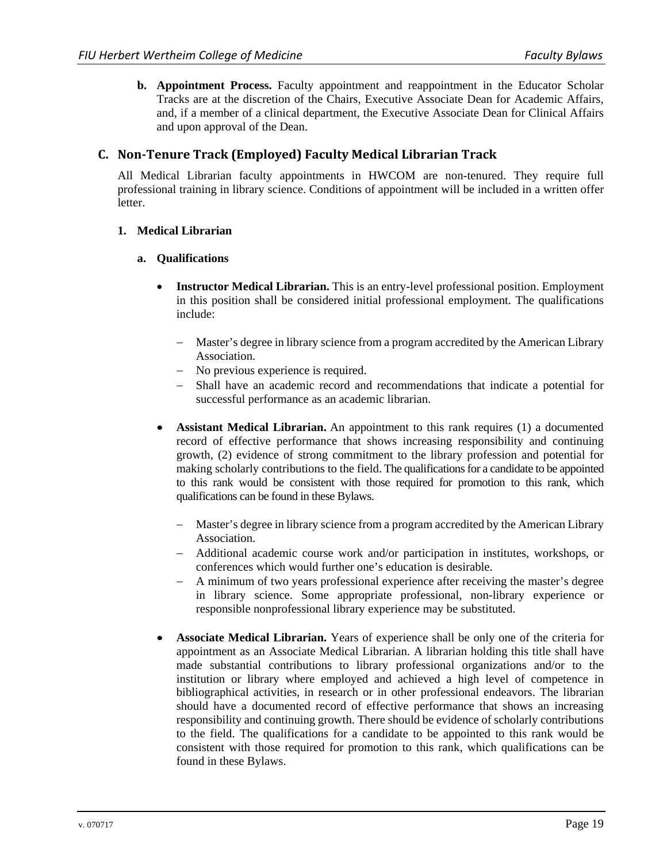**b. Appointment Process.** Faculty appointment and reappointment in the Educator Scholar Tracks are at the discretion of the Chairs, Executive Associate Dean for Academic Affairs, and, if a member of a clinical department, the Executive Associate Dean for Clinical Affairs and upon approval of the Dean.

# **C. Non‐Tenure Track (Employed) Faculty Medical Librarian Track**

All Medical Librarian faculty appointments in HWCOM are non-tenured. They require full professional training in library science. Conditions of appointment will be included in a written offer letter.

#### **1. Medical Librarian**

#### **a. Qualifications**

- **Instructor Medical Librarian.** This is an entry-level professional position. Employment in this position shall be considered initial professional employment. The qualifications include:
	- Master's degree in library science from a program accredited by the American Library Association.
	- No previous experience is required.
	- Shall have an academic record and recommendations that indicate a potential for successful performance as an academic librarian.
- **Assistant Medical Librarian.** An appointment to this rank requires (1) a documented record of effective performance that shows increasing responsibility and continuing growth, (2) evidence of strong commitment to the library profession and potential for making scholarly contributions to the field. The qualifications for a candidate to be appointed to this rank would be consistent with those required for promotion to this rank, which qualifications can be found in these Bylaws.
	- Master's degree in library science from a program accredited by the American Library Association.
	- Additional academic course work and/or participation in institutes, workshops, or conferences which would further one's education is desirable.
	- A minimum of two years professional experience after receiving the master's degree in library science. Some appropriate professional, non-library experience or responsible nonprofessional library experience may be substituted.
- **Associate Medical Librarian.** Years of experience shall be only one of the criteria for appointment as an Associate Medical Librarian. A librarian holding this title shall have made substantial contributions to library professional organizations and/or to the institution or library where employed and achieved a high level of competence in bibliographical activities, in research or in other professional endeavors. The librarian should have a documented record of effective performance that shows an increasing responsibility and continuing growth. There should be evidence of scholarly contributions to the field. The qualifications for a candidate to be appointed to this rank would be consistent with those required for promotion to this rank, which qualifications can be found in these Bylaws.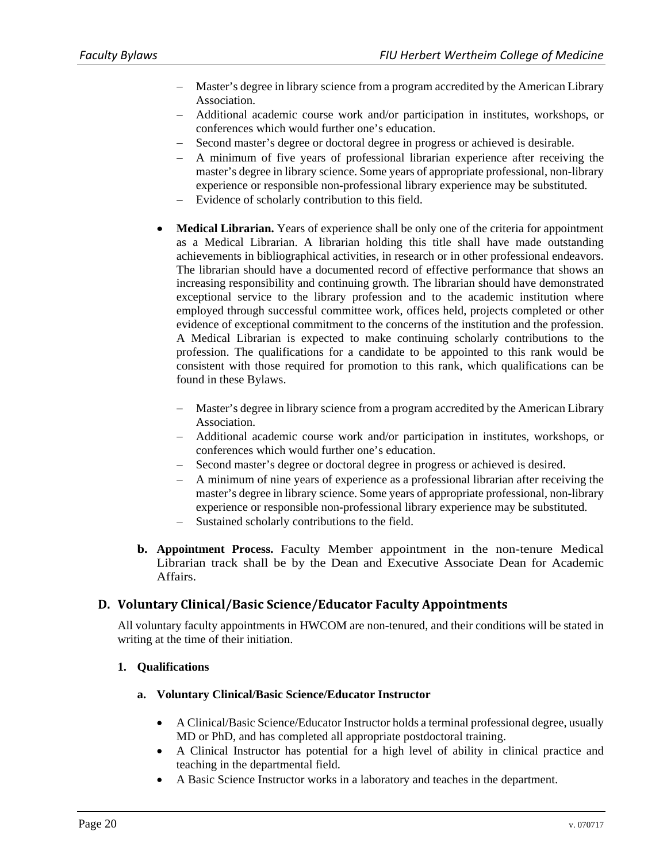- Master's degree in library science from a program accredited by the American Library Association.
- Additional academic course work and/or participation in institutes, workshops, or conferences which would further one's education.
- Second master's degree or doctoral degree in progress or achieved is desirable.
- A minimum of five years of professional librarian experience after receiving the master's degree in library science. Some years of appropriate professional, non-library experience or responsible non-professional library experience may be substituted.
- Evidence of scholarly contribution to this field.
- **Medical Librarian.** Years of experience shall be only one of the criteria for appointment as a Medical Librarian. A librarian holding this title shall have made outstanding achievements in bibliographical activities, in research or in other professional endeavors. The librarian should have a documented record of effective performance that shows an increasing responsibility and continuing growth. The librarian should have demonstrated exceptional service to the library profession and to the academic institution where employed through successful committee work, offices held, projects completed or other evidence of exceptional commitment to the concerns of the institution and the profession. A Medical Librarian is expected to make continuing scholarly contributions to the profession. The qualifications for a candidate to be appointed to this rank would be consistent with those required for promotion to this rank, which qualifications can be found in these Bylaws.
	- Master's degree in library science from a program accredited by the American Library Association.
	- Additional academic course work and/or participation in institutes, workshops, or conferences which would further one's education.
	- Second master's degree or doctoral degree in progress or achieved is desired.
	- A minimum of nine years of experience as a professional librarian after receiving the master's degree in library science. Some years of appropriate professional, non-library experience or responsible non-professional library experience may be substituted.
	- Sustained scholarly contributions to the field.
- **b. Appointment Process.** Faculty Member appointment in the non-tenure Medical Librarian track shall be by the Dean and Executive Associate Dean for Academic Affairs.

# **D. Voluntary Clinical/Basic Science/Educator Faculty Appointments**

All voluntary faculty appointments in HWCOM are non-tenured, and their conditions will be stated in writing at the time of their initiation.

#### **1. Qualifications**

- **a. Voluntary Clinical/Basic Science/Educator Instructor** 
	- A Clinical/Basic Science/Educator Instructor holds a terminal professional degree, usually MD or PhD, and has completed all appropriate postdoctoral training.
	- A Clinical Instructor has potential for a high level of ability in clinical practice and teaching in the departmental field.
	- A Basic Science Instructor works in a laboratory and teaches in the department.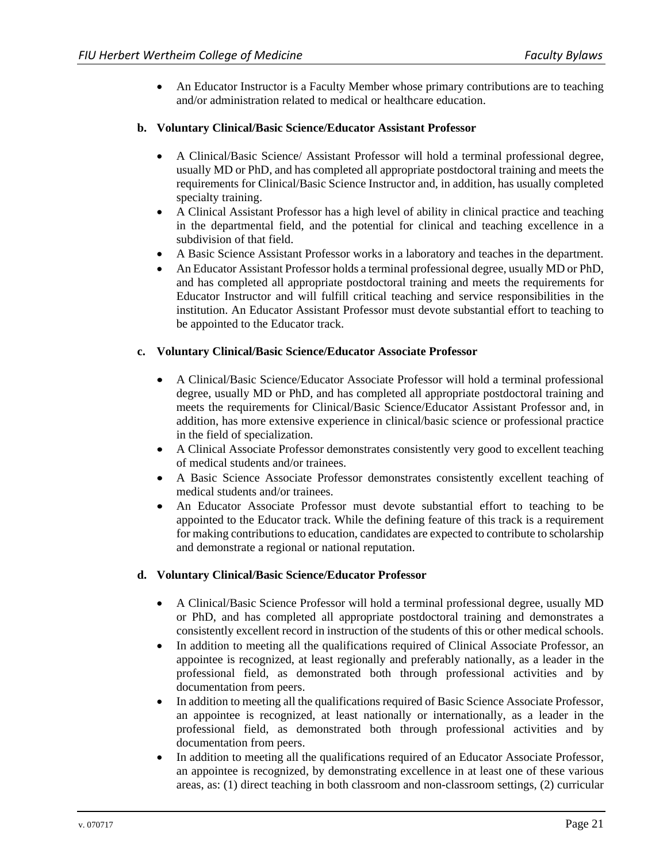An Educator Instructor is a Faculty Member whose primary contributions are to teaching and/or administration related to medical or healthcare education.

#### **b. Voluntary Clinical/Basic Science/Educator Assistant Professor**

- A Clinical/Basic Science/ Assistant Professor will hold a terminal professional degree, usually MD or PhD, and has completed all appropriate postdoctoral training and meets the requirements for Clinical/Basic Science Instructor and, in addition, has usually completed specialty training.
- A Clinical Assistant Professor has a high level of ability in clinical practice and teaching in the departmental field, and the potential for clinical and teaching excellence in a subdivision of that field.
- A Basic Science Assistant Professor works in a laboratory and teaches in the department.
- An Educator Assistant Professor holds a terminal professional degree, usually MD or PhD, and has completed all appropriate postdoctoral training and meets the requirements for Educator Instructor and will fulfill critical teaching and service responsibilities in the institution. An Educator Assistant Professor must devote substantial effort to teaching to be appointed to the Educator track.

#### **c. Voluntary Clinical/Basic Science/Educator Associate Professor**

- A Clinical/Basic Science/Educator Associate Professor will hold a terminal professional degree, usually MD or PhD, and has completed all appropriate postdoctoral training and meets the requirements for Clinical/Basic Science/Educator Assistant Professor and, in addition, has more extensive experience in clinical/basic science or professional practice in the field of specialization.
- A Clinical Associate Professor demonstrates consistently very good to excellent teaching of medical students and/or trainees.
- A Basic Science Associate Professor demonstrates consistently excellent teaching of medical students and/or trainees.
- An Educator Associate Professor must devote substantial effort to teaching to be appointed to the Educator track. While the defining feature of this track is a requirement for making contributions to education, candidates are expected to contribute to scholarship and demonstrate a regional or national reputation.

#### **d. Voluntary Clinical/Basic Science/Educator Professor**

- A Clinical/Basic Science Professor will hold a terminal professional degree, usually MD or PhD, and has completed all appropriate postdoctoral training and demonstrates a consistently excellent record in instruction of the students of this or other medical schools.
- In addition to meeting all the qualifications required of Clinical Associate Professor, an appointee is recognized, at least regionally and preferably nationally, as a leader in the professional field, as demonstrated both through professional activities and by documentation from peers.
- In addition to meeting all the qualifications required of Basic Science Associate Professor, an appointee is recognized, at least nationally or internationally, as a leader in the professional field, as demonstrated both through professional activities and by documentation from peers.
- In addition to meeting all the qualifications required of an Educator Associate Professor, an appointee is recognized, by demonstrating excellence in at least one of these various areas, as: (1) direct teaching in both classroom and non-classroom settings, (2) curricular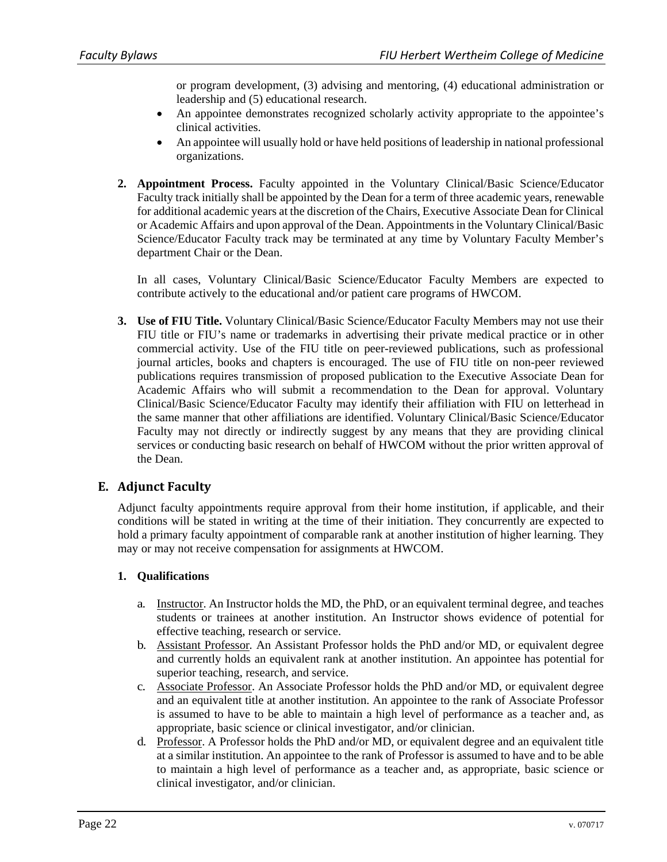or program development, (3) advising and mentoring, (4) educational administration or leadership and (5) educational research.

- An appointee demonstrates recognized scholarly activity appropriate to the appointee's clinical activities.
- An appointee will usually hold or have held positions of leadership in national professional organizations.
- **2. Appointment Process.** Faculty appointed in the Voluntary Clinical/Basic Science/Educator Faculty track initially shall be appointed by the Dean for a term of three academic years, renewable for additional academic years at the discretion of the Chairs, Executive Associate Dean for Clinical or Academic Affairs and upon approval of the Dean. Appointments in the Voluntary Clinical/Basic Science/Educator Faculty track may be terminated at any time by Voluntary Faculty Member's department Chair or the Dean.

In all cases, Voluntary Clinical/Basic Science/Educator Faculty Members are expected to contribute actively to the educational and/or patient care programs of HWCOM.

**3. Use of FIU Title.** Voluntary Clinical/Basic Science/Educator Faculty Members may not use their FIU title or FIU's name or trademarks in advertising their private medical practice or in other commercial activity. Use of the FIU title on peer-reviewed publications, such as professional journal articles, books and chapters is encouraged. The use of FIU title on non-peer reviewed publications requires transmission of proposed publication to the Executive Associate Dean for Academic Affairs who will submit a recommendation to the Dean for approval. Voluntary Clinical/Basic Science/Educator Faculty may identify their affiliation with FIU on letterhead in the same manner that other affiliations are identified. Voluntary Clinical/Basic Science/Educator Faculty may not directly or indirectly suggest by any means that they are providing clinical services or conducting basic research on behalf of HWCOM without the prior written approval of the Dean.

# **E.** Adjunct Faculty

Adjunct faculty appointments require approval from their home institution, if applicable, and their conditions will be stated in writing at the time of their initiation. They concurrently are expected to hold a primary faculty appointment of comparable rank at another institution of higher learning. They may or may not receive compensation for assignments at HWCOM.

#### **1. Qualifications**

- a. Instructor. An Instructor holds the MD, the PhD, or an equivalent terminal degree, and teaches students or trainees at another institution. An Instructor shows evidence of potential for effective teaching, research or service.
- b. Assistant Professor*.* An Assistant Professor holds the PhD and/or MD, or equivalent degree and currently holds an equivalent rank at another institution. An appointee has potential for superior teaching, research, and service.
- c. Associate Professor. An Associate Professor holds the PhD and/or MD, or equivalent degree and an equivalent title at another institution. An appointee to the rank of Associate Professor is assumed to have to be able to maintain a high level of performance as a teacher and, as appropriate, basic science or clinical investigator, and/or clinician.
- d. Professor. A Professor holds the PhD and/or MD, or equivalent degree and an equivalent title at a similar institution. An appointee to the rank of Professor is assumed to have and to be able to maintain a high level of performance as a teacher and, as appropriate, basic science or clinical investigator, and/or clinician.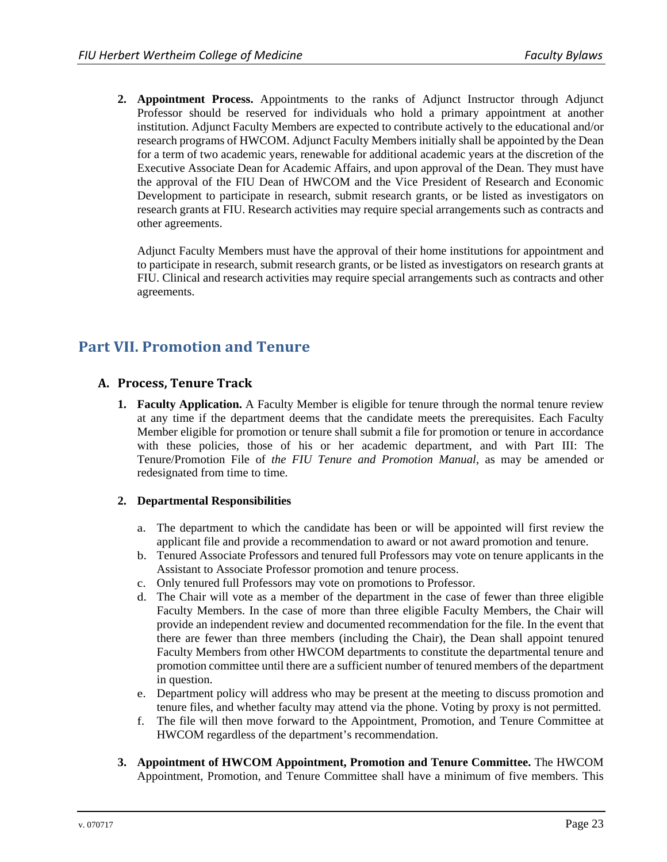**2. Appointment Process.** Appointments to the ranks of Adjunct Instructor through Adjunct Professor should be reserved for individuals who hold a primary appointment at another institution. Adjunct Faculty Members are expected to contribute actively to the educational and/or research programs of HWCOM. Adjunct Faculty Members initially shall be appointed by the Dean for a term of two academic years, renewable for additional academic years at the discretion of the Executive Associate Dean for Academic Affairs, and upon approval of the Dean. They must have the approval of the FIU Dean of HWCOM and the Vice President of Research and Economic Development to participate in research, submit research grants, or be listed as investigators on research grants at FIU. Research activities may require special arrangements such as contracts and other agreements.

Adjunct Faculty Members must have the approval of their home institutions for appointment and to participate in research, submit research grants, or be listed as investigators on research grants at FIU. Clinical and research activities may require special arrangements such as contracts and other agreements.

# **Part VII. Promotion and Tenure**

# **A. Process, Tenure Track**

**1. Faculty Application.** A Faculty Member is eligible for tenure through the normal tenure review at any time if the department deems that the candidate meets the prerequisites. Each Faculty Member eligible for promotion or tenure shall submit a file for promotion or tenure in accordance with these policies, those of his or her academic department, and with Part III: The Tenure/Promotion File of *the FIU Tenure and Promotion Manual*, as may be amended or redesignated from time to time.

#### **2. Departmental Responsibilities**

- a. The department to which the candidate has been or will be appointed will first review the applicant file and provide a recommendation to award or not award promotion and tenure.
- b. Tenured Associate Professors and tenured full Professors may vote on tenure applicants in the Assistant to Associate Professor promotion and tenure process.
- c. Only tenured full Professors may vote on promotions to Professor.
- d. The Chair will vote as a member of the department in the case of fewer than three eligible Faculty Members. In the case of more than three eligible Faculty Members, the Chair will provide an independent review and documented recommendation for the file. In the event that there are fewer than three members (including the Chair), the Dean shall appoint tenured Faculty Members from other HWCOM departments to constitute the departmental tenure and promotion committee until there are a sufficient number of tenured members of the department in question.
- e. Department policy will address who may be present at the meeting to discuss promotion and tenure files, and whether faculty may attend via the phone. Voting by proxy is not permitted.
- f. The file will then move forward to the Appointment, Promotion, and Tenure Committee at HWCOM regardless of the department's recommendation.
- **3. Appointment of HWCOM Appointment, Promotion and Tenure Committee.** The HWCOM Appointment, Promotion, and Tenure Committee shall have a minimum of five members. This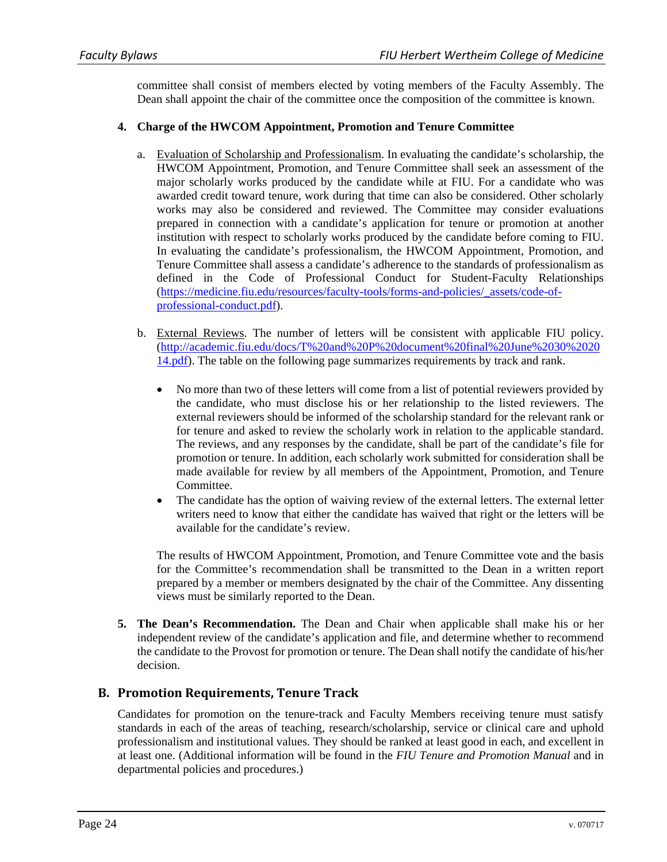committee shall consist of members elected by voting members of the Faculty Assembly. The Dean shall appoint the chair of the committee once the composition of the committee is known.

#### **4. Charge of the HWCOM Appointment, Promotion and Tenure Committee**

- a. Evaluation of Scholarship and Professionalism. In evaluating the candidate's scholarship, the HWCOM Appointment, Promotion, and Tenure Committee shall seek an assessment of the major scholarly works produced by the candidate while at FIU. For a candidate who was awarded credit toward tenure, work during that time can also be considered. Other scholarly works may also be considered and reviewed. The Committee may consider evaluations prepared in connection with a candidate's application for tenure or promotion at another institution with respect to scholarly works produced by the candidate before coming to FIU. In evaluating the candidate's professionalism, the HWCOM Appointment, Promotion, and Tenure Committee shall assess a candidate's adherence to the standards of professionalism as defined in the Code of Professional Conduct for Student-Faculty Relationships (https://medicine.fiu.edu/resources/faculty-tools/forms-and-policies/\_assets/code-ofprofessional-conduct.pdf).
- b. External Reviews. The number of letters will be consistent with applicable FIU policy. (http://academic.fiu.edu/docs/T%20and%20P%20document%20final%20June%2030%2020 14.pdf). The table on the following page summarizes requirements by track and rank.
	- No more than two of these letters will come from a list of potential reviewers provided by the candidate, who must disclose his or her relationship to the listed reviewers. The external reviewers should be informed of the scholarship standard for the relevant rank or for tenure and asked to review the scholarly work in relation to the applicable standard. The reviews, and any responses by the candidate, shall be part of the candidate's file for promotion or tenure. In addition, each scholarly work submitted for consideration shall be made available for review by all members of the Appointment, Promotion, and Tenure Committee.
	- The candidate has the option of waiving review of the external letters. The external letter writers need to know that either the candidate has waived that right or the letters will be available for the candidate's review.

The results of HWCOM Appointment, Promotion, and Tenure Committee vote and the basis for the Committee's recommendation shall be transmitted to the Dean in a written report prepared by a member or members designated by the chair of the Committee. Any dissenting views must be similarly reported to the Dean.

**5. The Dean's Recommendation.** The Dean and Chair when applicable shall make his or her independent review of the candidate's application and file, and determine whether to recommend the candidate to the Provost for promotion or tenure. The Dean shall notify the candidate of his/her decision.

#### **B. Promotion Requirements, Tenure Track**

Candidates for promotion on the tenure-track and Faculty Members receiving tenure must satisfy standards in each of the areas of teaching, research/scholarship, service or clinical care and uphold professionalism and institutional values. They should be ranked at least good in each, and excellent in at least one. (Additional information will be found in the *FIU Tenure and Promotion Manual* and in departmental policies and procedures.)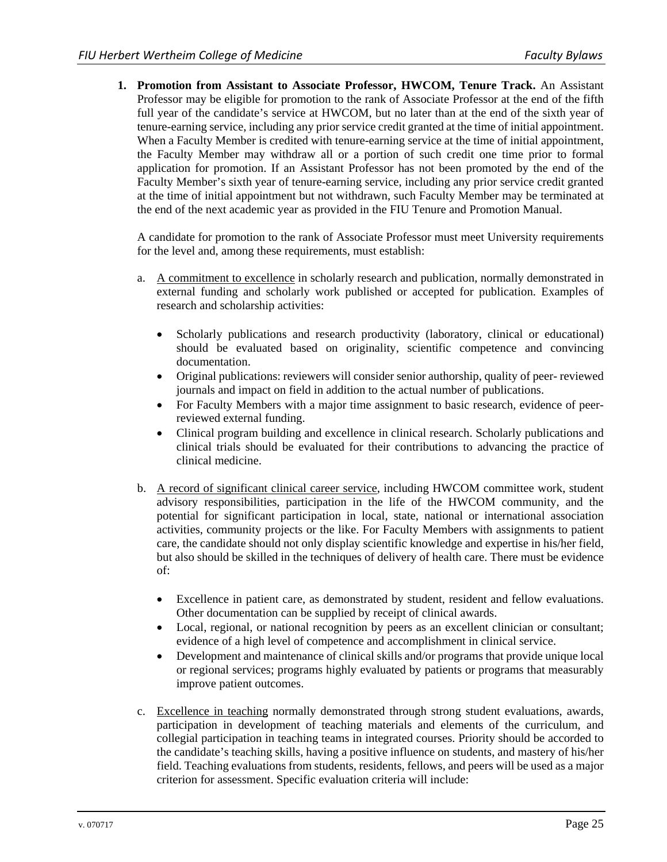**1. Promotion from Assistant to Associate Professor, HWCOM, Tenure Track.** An Assistant Professor may be eligible for promotion to the rank of Associate Professor at the end of the fifth full year of the candidate's service at HWCOM, but no later than at the end of the sixth year of tenure-earning service, including any prior service credit granted at the time of initial appointment. When a Faculty Member is credited with tenure-earning service at the time of initial appointment, the Faculty Member may withdraw all or a portion of such credit one time prior to formal application for promotion. If an Assistant Professor has not been promoted by the end of the Faculty Member's sixth year of tenure-earning service, including any prior service credit granted at the time of initial appointment but not withdrawn, such Faculty Member may be terminated at the end of the next academic year as provided in the FIU Tenure and Promotion Manual.

A candidate for promotion to the rank of Associate Professor must meet University requirements for the level and, among these requirements, must establish:

- a. A commitment to excellence in scholarly research and publication, normally demonstrated in external funding and scholarly work published or accepted for publication. Examples of research and scholarship activities:
	- Scholarly publications and research productivity (laboratory, clinical or educational) should be evaluated based on originality, scientific competence and convincing documentation.
	- Original publications: reviewers will consider senior authorship, quality of peer- reviewed journals and impact on field in addition to the actual number of publications.
	- For Faculty Members with a major time assignment to basic research, evidence of peerreviewed external funding.
	- Clinical program building and excellence in clinical research. Scholarly publications and clinical trials should be evaluated for their contributions to advancing the practice of clinical medicine.
- b. A record of significant clinical career service, including HWCOM committee work, student advisory responsibilities, participation in the life of the HWCOM community, and the potential for significant participation in local, state, national or international association activities, community projects or the like. For Faculty Members with assignments to patient care, the candidate should not only display scientific knowledge and expertise in his/her field, but also should be skilled in the techniques of delivery of health care. There must be evidence of:
	- Excellence in patient care, as demonstrated by student, resident and fellow evaluations. Other documentation can be supplied by receipt of clinical awards.
	- Local, regional, or national recognition by peers as an excellent clinician or consultant; evidence of a high level of competence and accomplishment in clinical service.
	- Development and maintenance of clinical skills and/or programs that provide unique local or regional services; programs highly evaluated by patients or programs that measurably improve patient outcomes.
- c. Excellence in teaching normally demonstrated through strong student evaluations, awards, participation in development of teaching materials and elements of the curriculum, and collegial participation in teaching teams in integrated courses. Priority should be accorded to the candidate's teaching skills, having a positive influence on students, and mastery of his/her field. Teaching evaluations from students, residents, fellows, and peers will be used as a major criterion for assessment. Specific evaluation criteria will include: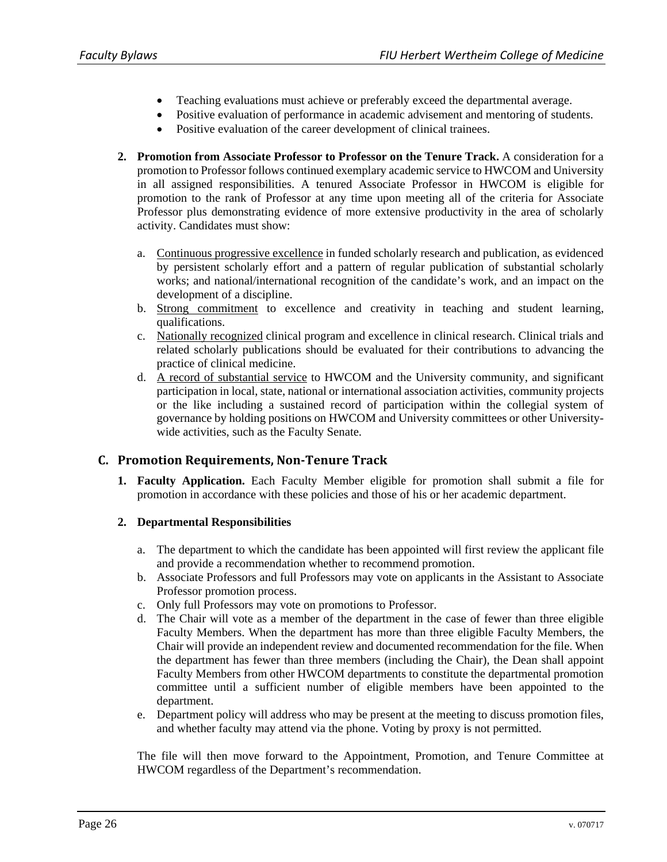- Teaching evaluations must achieve or preferably exceed the departmental average.
- Positive evaluation of performance in academic advisement and mentoring of students.
- Positive evaluation of the career development of clinical trainees.
- **2. Promotion from Associate Professor to Professor on the Tenure Track.** A consideration for a promotion to Professor follows continued exemplary academic service to HWCOM and University in all assigned responsibilities. A tenured Associate Professor in HWCOM is eligible for promotion to the rank of Professor at any time upon meeting all of the criteria for Associate Professor plus demonstrating evidence of more extensive productivity in the area of scholarly activity. Candidates must show:
	- a. Continuous progressive excellence in funded scholarly research and publication, as evidenced by persistent scholarly effort and a pattern of regular publication of substantial scholarly works; and national/international recognition of the candidate's work, and an impact on the development of a discipline.
	- b. Strong commitment to excellence and creativity in teaching and student learning, qualifications.
	- c. Nationally recognized clinical program and excellence in clinical research. Clinical trials and related scholarly publications should be evaluated for their contributions to advancing the practice of clinical medicine.
	- d. A record of substantial service to HWCOM and the University community, and significant participation in local, state, national or international association activities, community projects or the like including a sustained record of participation within the collegial system of governance by holding positions on HWCOM and University committees or other Universitywide activities, such as the Faculty Senate.

# **C. Promotion Requirements, Non‐Tenure Track**

**1. Faculty Application.** Each Faculty Member eligible for promotion shall submit a file for promotion in accordance with these policies and those of his or her academic department.

#### **2. Departmental Responsibilities**

- a. The department to which the candidate has been appointed will first review the applicant file and provide a recommendation whether to recommend promotion.
- b. Associate Professors and full Professors may vote on applicants in the Assistant to Associate Professor promotion process.
- c. Only full Professors may vote on promotions to Professor.
- d. The Chair will vote as a member of the department in the case of fewer than three eligible Faculty Members. When the department has more than three eligible Faculty Members, the Chair will provide an independent review and documented recommendation for the file. When the department has fewer than three members (including the Chair), the Dean shall appoint Faculty Members from other HWCOM departments to constitute the departmental promotion committee until a sufficient number of eligible members have been appointed to the department.
- e. Department policy will address who may be present at the meeting to discuss promotion files, and whether faculty may attend via the phone. Voting by proxy is not permitted.

The file will then move forward to the Appointment, Promotion, and Tenure Committee at HWCOM regardless of the Department's recommendation.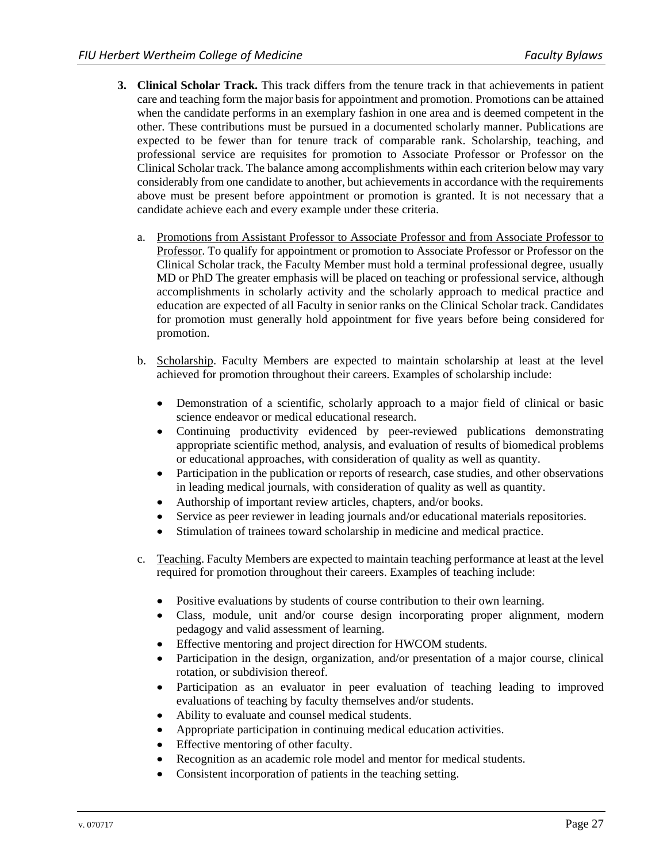- **3. Clinical Scholar Track.** This track differs from the tenure track in that achievements in patient care and teaching form the major basis for appointment and promotion. Promotions can be attained when the candidate performs in an exemplary fashion in one area and is deemed competent in the other. These contributions must be pursued in a documented scholarly manner. Publications are expected to be fewer than for tenure track of comparable rank. Scholarship, teaching, and professional service are requisites for promotion to Associate Professor or Professor on the Clinical Scholar track. The balance among accomplishments within each criterion below may vary considerably from one candidate to another, but achievements in accordance with the requirements above must be present before appointment or promotion is granted. It is not necessary that a candidate achieve each and every example under these criteria.
	- a. Promotions from Assistant Professor to Associate Professor and from Associate Professor to Professor. To qualify for appointment or promotion to Associate Professor or Professor on the Clinical Scholar track, the Faculty Member must hold a terminal professional degree, usually MD or PhD The greater emphasis will be placed on teaching or professional service, although accomplishments in scholarly activity and the scholarly approach to medical practice and education are expected of all Faculty in senior ranks on the Clinical Scholar track. Candidates for promotion must generally hold appointment for five years before being considered for promotion.
	- b. Scholarship. Faculty Members are expected to maintain scholarship at least at the level achieved for promotion throughout their careers. Examples of scholarship include:
		- Demonstration of a scientific, scholarly approach to a major field of clinical or basic science endeavor or medical educational research.
		- Continuing productivity evidenced by peer-reviewed publications demonstrating appropriate scientific method, analysis, and evaluation of results of biomedical problems or educational approaches, with consideration of quality as well as quantity.
		- Participation in the publication or reports of research, case studies, and other observations in leading medical journals, with consideration of quality as well as quantity.
		- Authorship of important review articles, chapters, and/or books.
		- Service as peer reviewer in leading journals and/or educational materials repositories.
		- Stimulation of trainees toward scholarship in medicine and medical practice.
	- c. Teaching. Faculty Members are expected to maintain teaching performance at least at the level required for promotion throughout their careers. Examples of teaching include:
		- Positive evaluations by students of course contribution to their own learning.
		- Class, module, unit and/or course design incorporating proper alignment, modern pedagogy and valid assessment of learning.
		- Effective mentoring and project direction for HWCOM students.
		- Participation in the design, organization, and/or presentation of a major course, clinical rotation, or subdivision thereof.
		- Participation as an evaluator in peer evaluation of teaching leading to improved evaluations of teaching by faculty themselves and/or students.
		- Ability to evaluate and counsel medical students.
		- Appropriate participation in continuing medical education activities.
		- Effective mentoring of other faculty.
		- Recognition as an academic role model and mentor for medical students.
		- Consistent incorporation of patients in the teaching setting.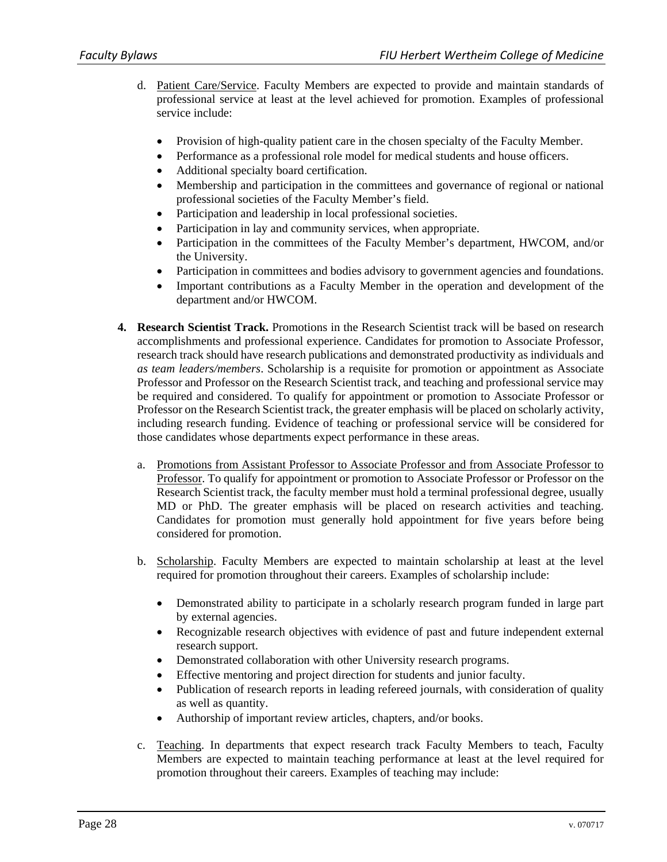- d. Patient Care/Service. Faculty Members are expected to provide and maintain standards of professional service at least at the level achieved for promotion. Examples of professional service include:
	- Provision of high-quality patient care in the chosen specialty of the Faculty Member.
	- Performance as a professional role model for medical students and house officers.
	- Additional specialty board certification.
	- Membership and participation in the committees and governance of regional or national professional societies of the Faculty Member's field.
	- Participation and leadership in local professional societies.
	- Participation in lay and community services, when appropriate.
	- Participation in the committees of the Faculty Member's department, HWCOM, and/or the University.
	- Participation in committees and bodies advisory to government agencies and foundations.
	- Important contributions as a Faculty Member in the operation and development of the department and/or HWCOM.
- **4. Research Scientist Track.** Promotions in the Research Scientist track will be based on research accomplishments and professional experience. Candidates for promotion to Associate Professor, research track should have research publications and demonstrated productivity as individuals and *as team leaders/members*. Scholarship is a requisite for promotion or appointment as Associate Professor and Professor on the Research Scientist track, and teaching and professional service may be required and considered. To qualify for appointment or promotion to Associate Professor or Professor on the Research Scientist track, the greater emphasis will be placed on scholarly activity, including research funding. Evidence of teaching or professional service will be considered for those candidates whose departments expect performance in these areas.
	- a. Promotions from Assistant Professor to Associate Professor and from Associate Professor to Professor. To qualify for appointment or promotion to Associate Professor or Professor on the Research Scientist track, the faculty member must hold a terminal professional degree, usually MD or PhD. The greater emphasis will be placed on research activities and teaching. Candidates for promotion must generally hold appointment for five years before being considered for promotion.
	- b. Scholarship. Faculty Members are expected to maintain scholarship at least at the level required for promotion throughout their careers. Examples of scholarship include:
		- Demonstrated ability to participate in a scholarly research program funded in large part by external agencies.
		- Recognizable research objectives with evidence of past and future independent external research support.
		- Demonstrated collaboration with other University research programs.
		- Effective mentoring and project direction for students and junior faculty.
		- Publication of research reports in leading refereed journals, with consideration of quality as well as quantity.
		- Authorship of important review articles, chapters, and/or books.
	- c. Teaching. In departments that expect research track Faculty Members to teach, Faculty Members are expected to maintain teaching performance at least at the level required for promotion throughout their careers. Examples of teaching may include: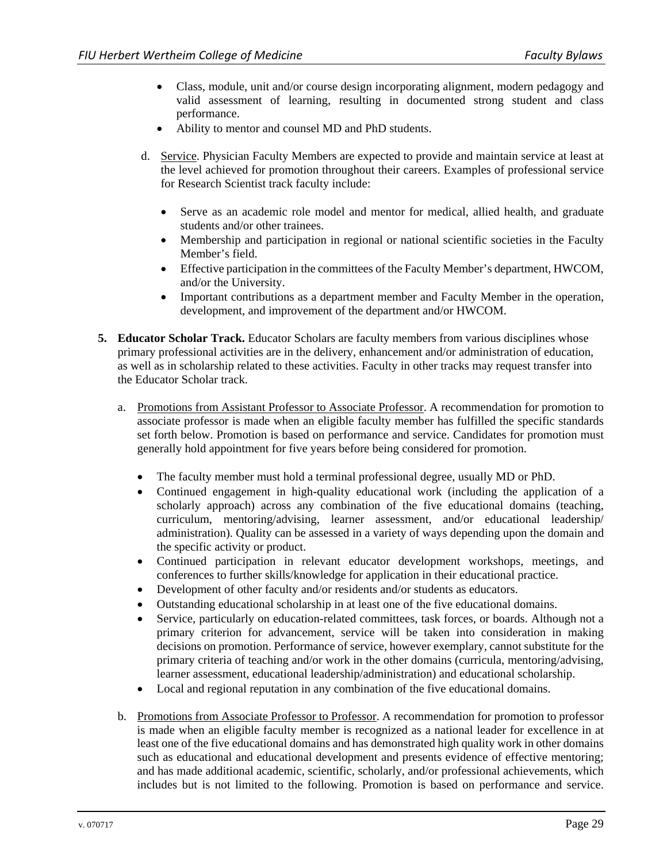- Class, module, unit and/or course design incorporating alignment, modern pedagogy and valid assessment of learning, resulting in documented strong student and class performance.
- Ability to mentor and counsel MD and PhD students.
- d. Service. Physician Faculty Members are expected to provide and maintain service at least at the level achieved for promotion throughout their careers. Examples of professional service for Research Scientist track faculty include:
	- Serve as an academic role model and mentor for medical, allied health, and graduate students and/or other trainees.
	- Membership and participation in regional or national scientific societies in the Faculty Member's field.
	- Effective participation in the committees of the Faculty Member's department, HWCOM, and/or the University.
	- Important contributions as a department member and Faculty Member in the operation, development, and improvement of the department and/or HWCOM.
- **5. Educator Scholar Track.** Educator Scholars are faculty members from various disciplines whose primary professional activities are in the delivery, enhancement and/or administration of education, as well as in scholarship related to these activities. Faculty in other tracks may request transfer into the Educator Scholar track.
	- a. Promotions from Assistant Professor to Associate Professor. A recommendation for promotion to associate professor is made when an eligible faculty member has fulfilled the specific standards set forth below. Promotion is based on performance and service. Candidates for promotion must generally hold appointment for five years before being considered for promotion.
		- The faculty member must hold a terminal professional degree, usually MD or PhD.
		- Continued engagement in high-quality educational work (including the application of a scholarly approach) across any combination of the five educational domains (teaching, curriculum, mentoring/advising, learner assessment, and/or educational leadership/ administration). Quality can be assessed in a variety of ways depending upon the domain and the specific activity or product.
		- Continued participation in relevant educator development workshops, meetings, and conferences to further skills/knowledge for application in their educational practice.
		- Development of other faculty and/or residents and/or students as educators.
		- Outstanding educational scholarship in at least one of the five educational domains.
		- Service, particularly on education-related committees, task forces, or boards. Although not a primary criterion for advancement, service will be taken into consideration in making decisions on promotion. Performance of service, however exemplary, cannot substitute for the primary criteria of teaching and/or work in the other domains (curricula, mentoring/advising, learner assessment, educational leadership/administration) and educational scholarship.
		- Local and regional reputation in any combination of the five educational domains.
	- b. Promotions from Associate Professor to Professor. A recommendation for promotion to professor is made when an eligible faculty member is recognized as a national leader for excellence in at least one of the five educational domains and has demonstrated high quality work in other domains such as educational and educational development and presents evidence of effective mentoring; and has made additional academic, scientific, scholarly, and/or professional achievements, which includes but is not limited to the following. Promotion is based on performance and service.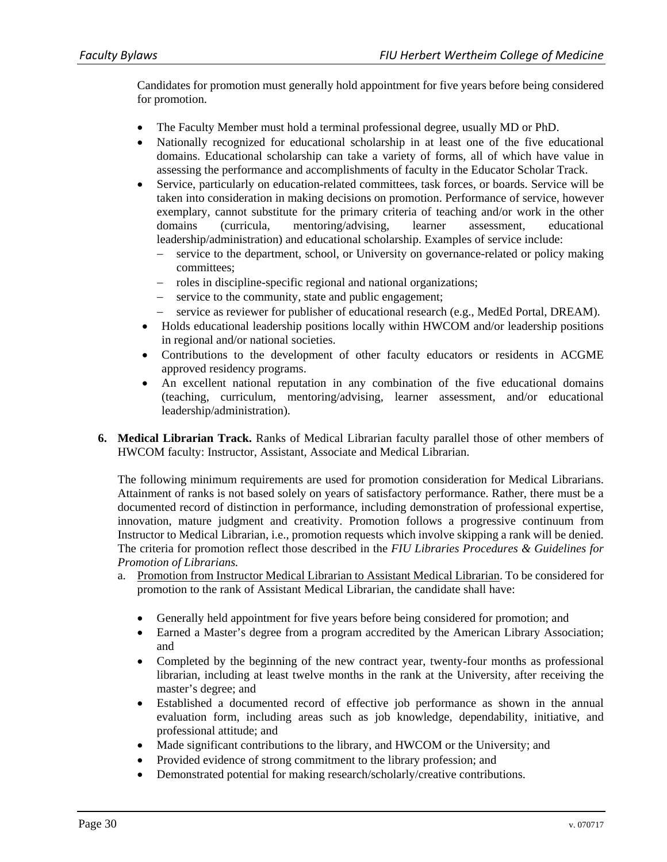Candidates for promotion must generally hold appointment for five years before being considered for promotion.

- The Faculty Member must hold a terminal professional degree, usually MD or PhD.
- Nationally recognized for educational scholarship in at least one of the five educational domains. Educational scholarship can take a variety of forms, all of which have value in assessing the performance and accomplishments of faculty in the Educator Scholar Track.
- Service, particularly on education-related committees, task forces, or boards. Service will be taken into consideration in making decisions on promotion. Performance of service, however exemplary, cannot substitute for the primary criteria of teaching and/or work in the other domains (curricula, mentoring/advising, learner assessment, educational leadership/administration) and educational scholarship. Examples of service include:
	- service to the department, school, or University on governance-related or policy making committees;
	- roles in discipline-specific regional and national organizations;
	- service to the community, state and public engagement;
	- service as reviewer for publisher of educational research (e.g., MedEd Portal, DREAM).
- Holds educational leadership positions locally within HWCOM and/or leadership positions in regional and/or national societies.
- Contributions to the development of other faculty educators or residents in ACGME approved residency programs.
- An excellent national reputation in any combination of the five educational domains (teaching, curriculum, mentoring/advising, learner assessment, and/or educational leadership/administration).
- **6. Medical Librarian Track.** Ranks of Medical Librarian faculty parallel those of other members of HWCOM faculty: Instructor, Assistant, Associate and Medical Librarian.

The following minimum requirements are used for promotion consideration for Medical Librarians. Attainment of ranks is not based solely on years of satisfactory performance. Rather, there must be a documented record of distinction in performance, including demonstration of professional expertise, innovation, mature judgment and creativity. Promotion follows a progressive continuum from Instructor to Medical Librarian, i.e., promotion requests which involve skipping a rank will be denied. The criteria for promotion reflect those described in the *FIU Libraries Procedures & Guidelines for Promotion of Librarians.* 

- a. Promotion from Instructor Medical Librarian to Assistant Medical Librarian. To be considered for promotion to the rank of Assistant Medical Librarian, the candidate shall have:
	- Generally held appointment for five years before being considered for promotion; and
	- Earned a Master's degree from a program accredited by the American Library Association; and
	- Completed by the beginning of the new contract year, twenty-four months as professional librarian, including at least twelve months in the rank at the University, after receiving the master's degree; and
	- Established a documented record of effective job performance as shown in the annual evaluation form, including areas such as job knowledge, dependability, initiative, and professional attitude; and
	- Made significant contributions to the library, and HWCOM or the University; and
	- Provided evidence of strong commitment to the library profession; and
	- Demonstrated potential for making research/scholarly/creative contributions.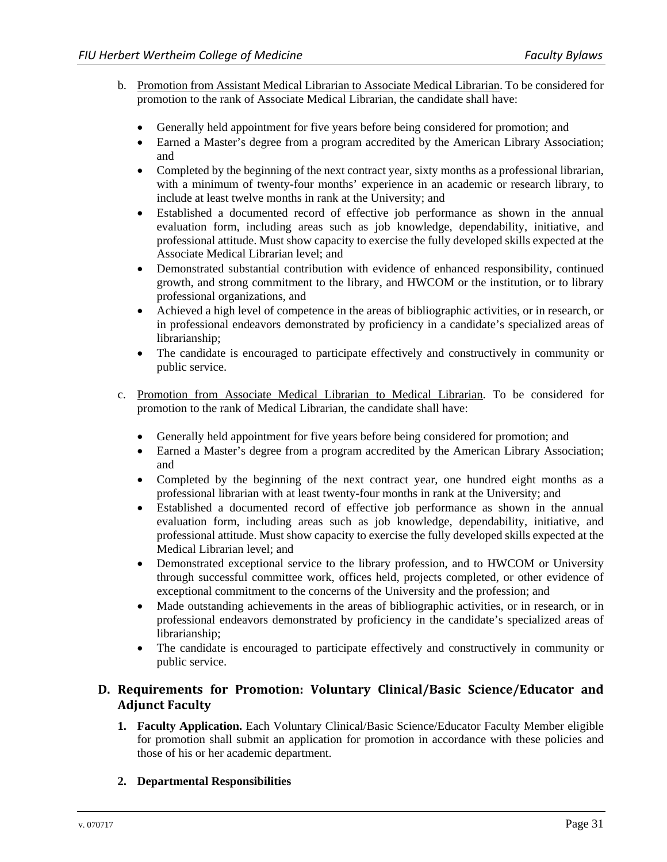- b. Promotion from Assistant Medical Librarian to Associate Medical Librarian. To be considered for promotion to the rank of Associate Medical Librarian, the candidate shall have:
	- Generally held appointment for five years before being considered for promotion; and
	- Earned a Master's degree from a program accredited by the American Library Association; and
	- Completed by the beginning of the next contract year, sixty months as a professional librarian, with a minimum of twenty-four months' experience in an academic or research library, to include at least twelve months in rank at the University; and
	- Established a documented record of effective job performance as shown in the annual evaluation form, including areas such as job knowledge, dependability, initiative, and professional attitude. Must show capacity to exercise the fully developed skills expected at the Associate Medical Librarian level; and
	- Demonstrated substantial contribution with evidence of enhanced responsibility, continued growth, and strong commitment to the library, and HWCOM or the institution, or to library professional organizations, and
	- Achieved a high level of competence in the areas of bibliographic activities, or in research, or in professional endeavors demonstrated by proficiency in a candidate's specialized areas of librarianship;
	- The candidate is encouraged to participate effectively and constructively in community or public service.
- c. Promotion from Associate Medical Librarian to Medical Librarian. To be considered for promotion to the rank of Medical Librarian, the candidate shall have:
	- Generally held appointment for five years before being considered for promotion; and
	- Earned a Master's degree from a program accredited by the American Library Association; and
	- Completed by the beginning of the next contract year, one hundred eight months as a professional librarian with at least twenty-four months in rank at the University; and
	- Established a documented record of effective job performance as shown in the annual evaluation form, including areas such as job knowledge, dependability, initiative, and professional attitude. Must show capacity to exercise the fully developed skills expected at the Medical Librarian level; and
	- Demonstrated exceptional service to the library profession, and to HWCOM or University through successful committee work, offices held, projects completed, or other evidence of exceptional commitment to the concerns of the University and the profession; and
	- Made outstanding achievements in the areas of bibliographic activities, or in research, or in professional endeavors demonstrated by proficiency in the candidate's specialized areas of librarianship;
	- The candidate is encouraged to participate effectively and constructively in community or public service.

# **D. Requirements for Promotion: Voluntary Clinical/Basic Science/Educator and Adjunct Faculty**

- **1. Faculty Application.** Each Voluntary Clinical/Basic Science/Educator Faculty Member eligible for promotion shall submit an application for promotion in accordance with these policies and those of his or her academic department.
- **2. Departmental Responsibilities**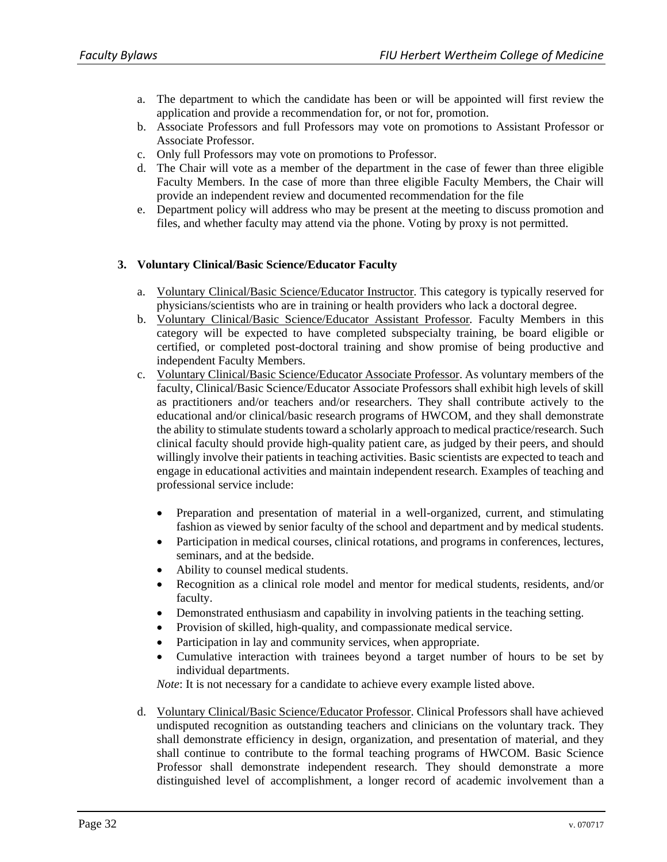- a. The department to which the candidate has been or will be appointed will first review the application and provide a recommendation for, or not for, promotion.
- b. Associate Professors and full Professors may vote on promotions to Assistant Professor or Associate Professor.
- c. Only full Professors may vote on promotions to Professor.
- d. The Chair will vote as a member of the department in the case of fewer than three eligible Faculty Members. In the case of more than three eligible Faculty Members, the Chair will provide an independent review and documented recommendation for the file
- e. Department policy will address who may be present at the meeting to discuss promotion and files, and whether faculty may attend via the phone. Voting by proxy is not permitted.

#### **3. Voluntary Clinical/Basic Science/Educator Faculty**

- a. Voluntary Clinical/Basic Science/Educator Instructor. This category is typically reserved for physicians/scientists who are in training or health providers who lack a doctoral degree.
- b. Voluntary Clinical/Basic Science/Educator Assistant Professor*.* Faculty Members in this category will be expected to have completed subspecialty training, be board eligible or certified, or completed post-doctoral training and show promise of being productive and independent Faculty Members.
- c. Voluntary Clinical/Basic Science/Educator Associate Professor. As voluntary members of the faculty, Clinical/Basic Science/Educator Associate Professors shall exhibit high levels of skill as practitioners and/or teachers and/or researchers. They shall contribute actively to the educational and/or clinical/basic research programs of HWCOM, and they shall demonstrate the ability to stimulate students toward a scholarly approach to medical practice/research. Such clinical faculty should provide high-quality patient care, as judged by their peers, and should willingly involve their patients in teaching activities. Basic scientists are expected to teach and engage in educational activities and maintain independent research. Examples of teaching and professional service include:
	- Preparation and presentation of material in a well-organized, current, and stimulating fashion as viewed by senior faculty of the school and department and by medical students.
	- Participation in medical courses, clinical rotations, and programs in conferences, lectures, seminars, and at the bedside.
	- Ability to counsel medical students.
	- Recognition as a clinical role model and mentor for medical students, residents, and/or faculty.
	- Demonstrated enthusiasm and capability in involving patients in the teaching setting.
	- Provision of skilled, high-quality, and compassionate medical service.
	- Participation in lay and community services, when appropriate.
	- Cumulative interaction with trainees beyond a target number of hours to be set by individual departments.

*Note*: It is not necessary for a candidate to achieve every example listed above.

d. Voluntary Clinical/Basic Science/Educator Professor. Clinical Professors shall have achieved undisputed recognition as outstanding teachers and clinicians on the voluntary track. They shall demonstrate efficiency in design, organization, and presentation of material, and they shall continue to contribute to the formal teaching programs of HWCOM. Basic Science Professor shall demonstrate independent research. They should demonstrate a more distinguished level of accomplishment, a longer record of academic involvement than a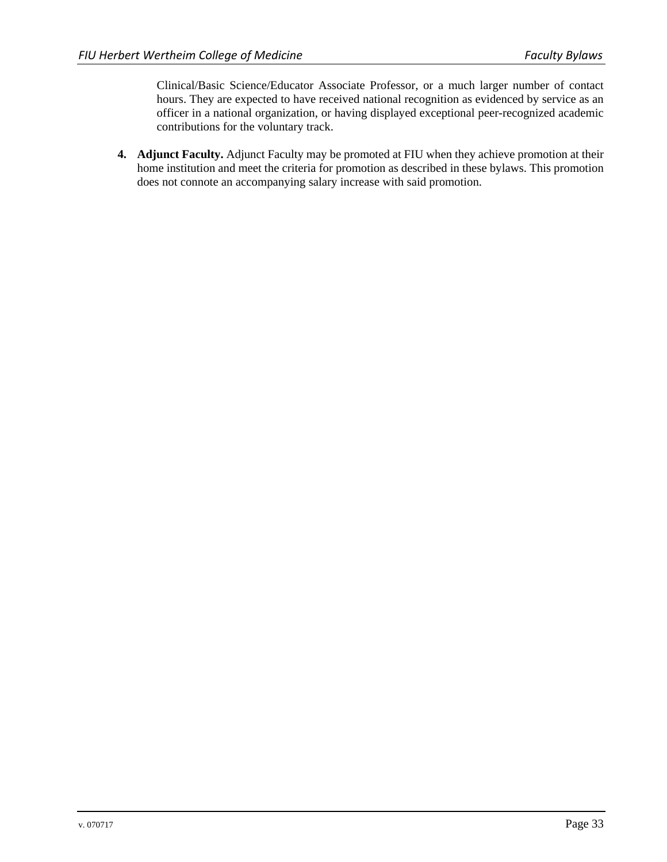Clinical/Basic Science/Educator Associate Professor, or a much larger number of contact hours. They are expected to have received national recognition as evidenced by service as an officer in a national organization, or having displayed exceptional peer-recognized academic contributions for the voluntary track.

**4. Adjunct Faculty.** Adjunct Faculty may be promoted at FIU when they achieve promotion at their home institution and meet the criteria for promotion as described in these bylaws. This promotion does not connote an accompanying salary increase with said promotion.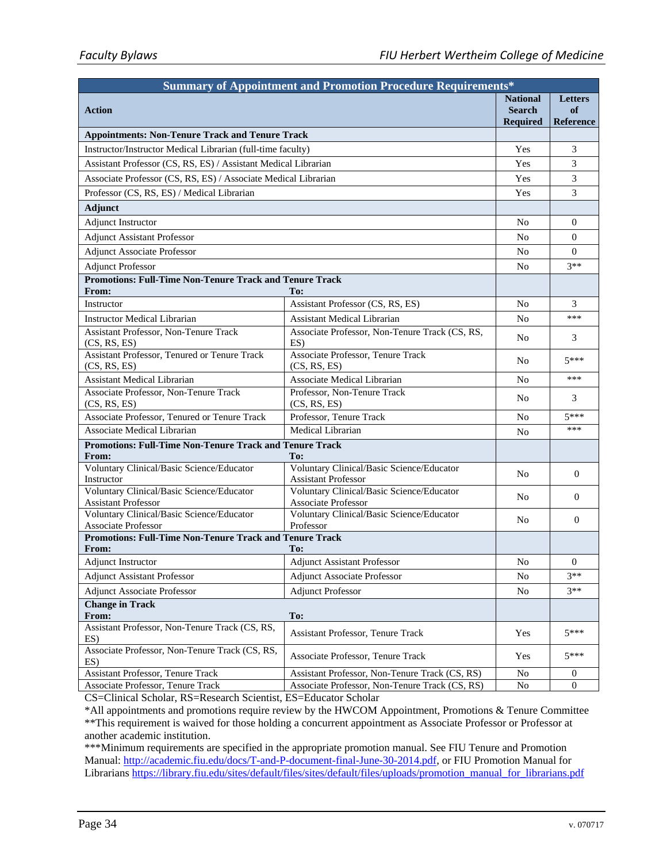| <b>Summary of Appointment and Promotion Procedure Requirements*</b>     |                                                                         |                                                     |                                          |  |  |
|-------------------------------------------------------------------------|-------------------------------------------------------------------------|-----------------------------------------------------|------------------------------------------|--|--|
| <b>Action</b>                                                           |                                                                         | <b>National</b><br><b>Search</b><br><b>Required</b> | <b>Letters</b><br>of<br><b>Reference</b> |  |  |
| <b>Appointments: Non-Tenure Track and Tenure Track</b>                  |                                                                         |                                                     |                                          |  |  |
| Instructor/Instructor Medical Librarian (full-time faculty)             |                                                                         | Yes                                                 | 3                                        |  |  |
| Assistant Professor (CS, RS, ES) / Assistant Medical Librarian          |                                                                         | Yes                                                 | 3                                        |  |  |
| Associate Professor (CS, RS, ES) / Associate Medical Librarian          |                                                                         | Yes                                                 | 3                                        |  |  |
| Professor (CS, RS, ES) / Medical Librarian                              |                                                                         | Yes                                                 | 3                                        |  |  |
| <b>Adjunct</b>                                                          |                                                                         |                                                     |                                          |  |  |
| Adjunct Instructor                                                      |                                                                         | No                                                  | 0                                        |  |  |
| <b>Adjunct Assistant Professor</b>                                      |                                                                         | No                                                  | $\overline{0}$                           |  |  |
| <b>Adjunct Associate Professor</b>                                      |                                                                         | No                                                  | $\Omega$                                 |  |  |
| <b>Adjunct Professor</b>                                                |                                                                         | No                                                  | $3**$                                    |  |  |
| <b>Promotions: Full-Time Non-Tenure Track and Tenure Track</b>          |                                                                         |                                                     |                                          |  |  |
| From:                                                                   | To:                                                                     |                                                     |                                          |  |  |
| Instructor                                                              | Assistant Professor (CS, RS, ES)                                        | No                                                  | 3                                        |  |  |
| <b>Instructor Medical Librarian</b>                                     | <b>Assistant Medical Librarian</b>                                      | No                                                  | ***                                      |  |  |
| <b>Assistant Professor, Non-Tenure Track</b><br>(CS, RS, ES)            | Associate Professor, Non-Tenure Track (CS, RS,<br>$ES$ )                | N <sub>o</sub>                                      | 3                                        |  |  |
| <b>Assistant Professor, Tenured or Tenure Track</b><br>(CS, RS, ES)     | Associate Professor, Tenure Track<br>(CS, RS, ES)                       | No                                                  | $5***$                                   |  |  |
| <b>Assistant Medical Librarian</b>                                      | Associate Medical Librarian                                             | No                                                  | ***                                      |  |  |
| Associate Professor, Non-Tenure Track<br>(CS, RS, ES)                   | Professor, Non-Tenure Track<br>(CS, RS, ES)                             | No                                                  | 3                                        |  |  |
| Associate Professor, Tenured or Tenure Track                            | Professor, Tenure Track                                                 | N <sub>o</sub>                                      | $5***$                                   |  |  |
| <b>Associate Medical Librarian</b>                                      | Medical Librarian                                                       | No                                                  | ***                                      |  |  |
| <b>Promotions: Full-Time Non-Tenure Track and Tenure Track</b>          |                                                                         |                                                     |                                          |  |  |
| From:                                                                   | To:                                                                     |                                                     |                                          |  |  |
| Voluntary Clinical/Basic Science/Educator<br>Instructor                 | Voluntary Clinical/Basic Science/Educator<br><b>Assistant Professor</b> | No                                                  | $\overline{0}$                           |  |  |
| Voluntary Clinical/Basic Science/Educator<br><b>Assistant Professor</b> | Voluntary Clinical/Basic Science/Educator<br>Associate Professor        | No                                                  | $\overline{0}$                           |  |  |
| Voluntary Clinical/Basic Science/Educator<br><b>Associate Professor</b> | Voluntary Clinical/Basic Science/Educator<br>Professor                  | N <sub>0</sub>                                      | $\mathbf{0}$                             |  |  |
| <b>Promotions: Full-Time Non-Tenure Track and Tenure Track</b>          |                                                                         |                                                     |                                          |  |  |
| From:                                                                   | To:                                                                     |                                                     |                                          |  |  |
| <b>Adjunct Instructor</b>                                               | <b>Adjunct Assistant Professor</b>                                      | No                                                  | $\overline{0}$                           |  |  |
| <b>Adjunct Assistant Professor</b>                                      | <b>Adjunct Associate Professor</b>                                      | No                                                  | $3**$                                    |  |  |
| <b>Adjunct Associate Professor</b>                                      | <b>Adjunct Professor</b>                                                | No                                                  | $3**$                                    |  |  |
| <b>Change in Track</b><br>From:                                         | To:                                                                     |                                                     |                                          |  |  |
| Assistant Professor, Non-Tenure Track (CS, RS,<br>$ES$ )                | <b>Assistant Professor, Tenure Track</b>                                | Yes                                                 | $5***$                                   |  |  |
| Associate Professor, Non-Tenure Track (CS, RS,<br>ES)                   | Associate Professor, Tenure Track                                       | Yes                                                 | $5***$                                   |  |  |
| <b>Assistant Professor, Tenure Track</b>                                | Assistant Professor, Non-Tenure Track (CS, RS)                          | No                                                  | $\sigma$                                 |  |  |
| Associate Professor, Tenure Track                                       | Associate Professor, Non-Tenure Track (CS, RS)                          | $\rm No$                                            | $\boldsymbol{0}$                         |  |  |

CS=Clinical Scholar, RS=Research Scientist, ES=Educator Scholar

\*All appointments and promotions require review by the HWCOM Appointment, Promotions & Tenure Committee \*\*This requirement is waived for those holding a concurrent appointment as Associate Professor or Professor at another academic institution.

\*\*\*Minimum requirements are specified in the appropriate promotion manual. See FIU Tenure and Promotion Manual: http://academic.fiu.edu/docs/T-and-P-document-final-June-30-2014.pdf, or FIU Promotion Manual for Librarians https://library.fiu.edu/sites/default/files/sites/default/files/uploads/promotion\_manual\_for\_librarians.pdf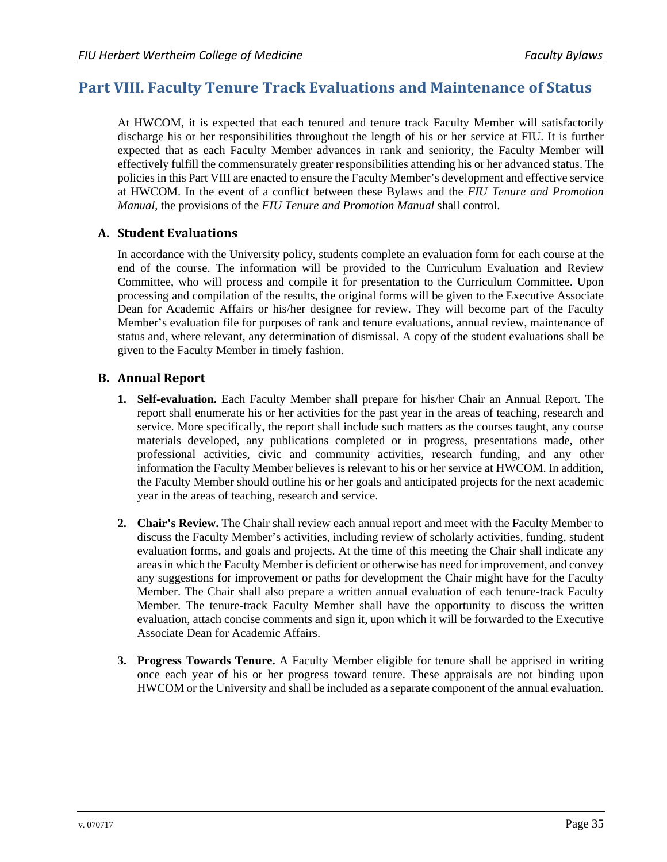# **Part VIII. Faculty Tenure Track Evaluations and Maintenance of Status**

At HWCOM, it is expected that each tenured and tenure track Faculty Member will satisfactorily discharge his or her responsibilities throughout the length of his or her service at FIU. It is further expected that as each Faculty Member advances in rank and seniority, the Faculty Member will effectively fulfill the commensurately greater responsibilities attending his or her advanced status. The policies in this Part VIII are enacted to ensure the Faculty Member's development and effective service at HWCOM. In the event of a conflict between these Bylaws and the *FIU Tenure and Promotion Manual*, the provisions of the *FIU Tenure and Promotion Manual* shall control.

# **A. Student Evaluations**

In accordance with the University policy, students complete an evaluation form for each course at the end of the course. The information will be provided to the Curriculum Evaluation and Review Committee, who will process and compile it for presentation to the Curriculum Committee. Upon processing and compilation of the results, the original forms will be given to the Executive Associate Dean for Academic Affairs or his/her designee for review. They will become part of the Faculty Member's evaluation file for purposes of rank and tenure evaluations, annual review, maintenance of status and, where relevant, any determination of dismissal. A copy of the student evaluations shall be given to the Faculty Member in timely fashion.

# **B. Annual Report**

- **1. Self-evaluation.** Each Faculty Member shall prepare for his/her Chair an Annual Report. The report shall enumerate his or her activities for the past year in the areas of teaching, research and service. More specifically, the report shall include such matters as the courses taught, any course materials developed, any publications completed or in progress, presentations made, other professional activities, civic and community activities, research funding, and any other information the Faculty Member believes is relevant to his or her service at HWCOM. In addition, the Faculty Member should outline his or her goals and anticipated projects for the next academic year in the areas of teaching, research and service.
- **2. Chair's Review.** The Chair shall review each annual report and meet with the Faculty Member to discuss the Faculty Member's activities, including review of scholarly activities, funding, student evaluation forms, and goals and projects. At the time of this meeting the Chair shall indicate any areas in which the Faculty Member is deficient or otherwise has need for improvement, and convey any suggestions for improvement or paths for development the Chair might have for the Faculty Member. The Chair shall also prepare a written annual evaluation of each tenure-track Faculty Member. The tenure-track Faculty Member shall have the opportunity to discuss the written evaluation, attach concise comments and sign it, upon which it will be forwarded to the Executive Associate Dean for Academic Affairs.
- **3. Progress Towards Tenure.** A Faculty Member eligible for tenure shall be apprised in writing once each year of his or her progress toward tenure. These appraisals are not binding upon HWCOM or the University and shall be included as a separate component of the annual evaluation.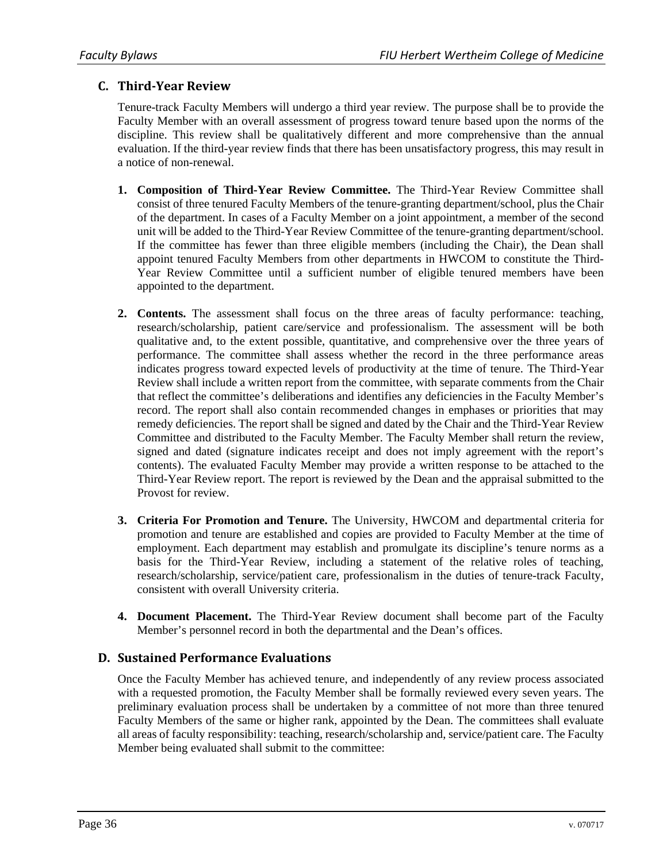### **C. Third‐Year Review**

Tenure-track Faculty Members will undergo a third year review. The purpose shall be to provide the Faculty Member with an overall assessment of progress toward tenure based upon the norms of the discipline. This review shall be qualitatively different and more comprehensive than the annual evaluation. If the third-year review finds that there has been unsatisfactory progress, this may result in a notice of non-renewal.

- **1. Composition of Third-Year Review Committee.** The Third-Year Review Committee shall consist of three tenured Faculty Members of the tenure-granting department/school, plus the Chair of the department. In cases of a Faculty Member on a joint appointment, a member of the second unit will be added to the Third-Year Review Committee of the tenure-granting department/school. If the committee has fewer than three eligible members (including the Chair), the Dean shall appoint tenured Faculty Members from other departments in HWCOM to constitute the Third-Year Review Committee until a sufficient number of eligible tenured members have been appointed to the department.
- **2. Contents.** The assessment shall focus on the three areas of faculty performance: teaching, research/scholarship, patient care/service and professionalism. The assessment will be both qualitative and, to the extent possible, quantitative, and comprehensive over the three years of performance. The committee shall assess whether the record in the three performance areas indicates progress toward expected levels of productivity at the time of tenure. The Third-Year Review shall include a written report from the committee, with separate comments from the Chair that reflect the committee's deliberations and identifies any deficiencies in the Faculty Member's record. The report shall also contain recommended changes in emphases or priorities that may remedy deficiencies. The report shall be signed and dated by the Chair and the Third-Year Review Committee and distributed to the Faculty Member. The Faculty Member shall return the review, signed and dated (signature indicates receipt and does not imply agreement with the report's contents). The evaluated Faculty Member may provide a written response to be attached to the Third-Year Review report. The report is reviewed by the Dean and the appraisal submitted to the Provost for review.
- **3. Criteria For Promotion and Tenure.** The University, HWCOM and departmental criteria for promotion and tenure are established and copies are provided to Faculty Member at the time of employment. Each department may establish and promulgate its discipline's tenure norms as a basis for the Third-Year Review, including a statement of the relative roles of teaching, research/scholarship, service/patient care, professionalism in the duties of tenure-track Faculty, consistent with overall University criteria.
- **4. Document Placement.** The Third-Year Review document shall become part of the Faculty Member's personnel record in both the departmental and the Dean's offices.

# **D. Sustained Performance Evaluations**

Once the Faculty Member has achieved tenure, and independently of any review process associated with a requested promotion, the Faculty Member shall be formally reviewed every seven years. The preliminary evaluation process shall be undertaken by a committee of not more than three tenured Faculty Members of the same or higher rank, appointed by the Dean. The committees shall evaluate all areas of faculty responsibility: teaching, research/scholarship and, service/patient care. The Faculty Member being evaluated shall submit to the committee: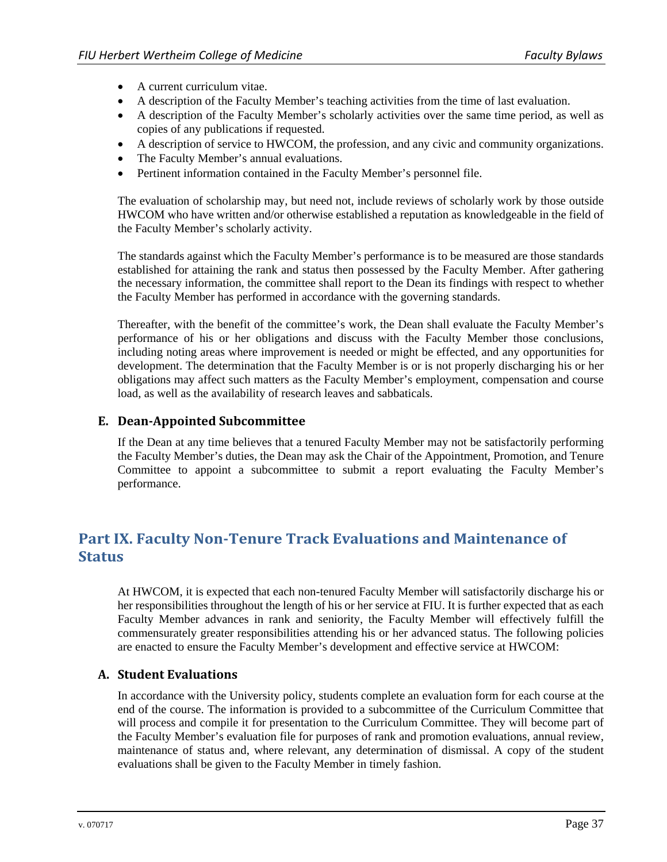- A current curriculum vitae.
- A description of the Faculty Member's teaching activities from the time of last evaluation.
- A description of the Faculty Member's scholarly activities over the same time period, as well as copies of any publications if requested.
- A description of service to HWCOM, the profession, and any civic and community organizations.
- The Faculty Member's annual evaluations.
- Pertinent information contained in the Faculty Member's personnel file.

The evaluation of scholarship may, but need not, include reviews of scholarly work by those outside HWCOM who have written and/or otherwise established a reputation as knowledgeable in the field of the Faculty Member's scholarly activity.

The standards against which the Faculty Member's performance is to be measured are those standards established for attaining the rank and status then possessed by the Faculty Member. After gathering the necessary information, the committee shall report to the Dean its findings with respect to whether the Faculty Member has performed in accordance with the governing standards.

Thereafter, with the benefit of the committee's work, the Dean shall evaluate the Faculty Member's performance of his or her obligations and discuss with the Faculty Member those conclusions, including noting areas where improvement is needed or might be effected, and any opportunities for development. The determination that the Faculty Member is or is not properly discharging his or her obligations may affect such matters as the Faculty Member's employment, compensation and course load, as well as the availability of research leaves and sabbaticals.

#### **E. Dean‐Appointed Subcommittee**

If the Dean at any time believes that a tenured Faculty Member may not be satisfactorily performing the Faculty Member's duties, the Dean may ask the Chair of the Appointment, Promotion, and Tenure Committee to appoint a subcommittee to submit a report evaluating the Faculty Member's performance.

# **Part IX. Faculty Non‐Tenure Track Evaluations and Maintenance of Status**

At HWCOM, it is expected that each non-tenured Faculty Member will satisfactorily discharge his or her responsibilities throughout the length of his or her service at FIU. It is further expected that as each Faculty Member advances in rank and seniority, the Faculty Member will effectively fulfill the commensurately greater responsibilities attending his or her advanced status. The following policies are enacted to ensure the Faculty Member's development and effective service at HWCOM:

#### **A. Student Evaluations**

In accordance with the University policy, students complete an evaluation form for each course at the end of the course. The information is provided to a subcommittee of the Curriculum Committee that will process and compile it for presentation to the Curriculum Committee. They will become part of the Faculty Member's evaluation file for purposes of rank and promotion evaluations, annual review, maintenance of status and, where relevant, any determination of dismissal. A copy of the student evaluations shall be given to the Faculty Member in timely fashion.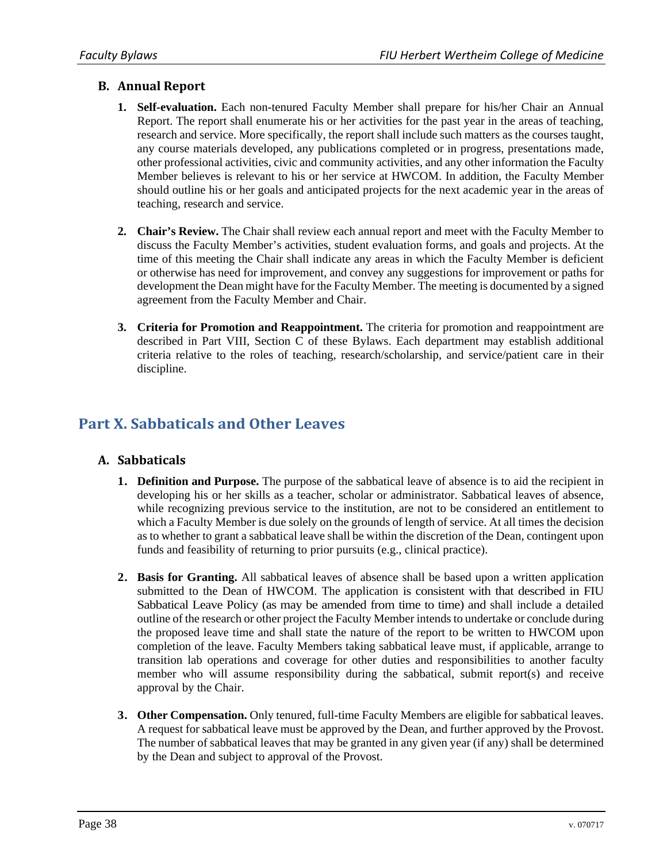# **B. Annual Report**

- **1. Self-evaluation.** Each non-tenured Faculty Member shall prepare for his/her Chair an Annual Report. The report shall enumerate his or her activities for the past year in the areas of teaching, research and service. More specifically, the report shall include such matters as the courses taught, any course materials developed, any publications completed or in progress, presentations made, other professional activities, civic and community activities, and any other information the Faculty Member believes is relevant to his or her service at HWCOM. In addition, the Faculty Member should outline his or her goals and anticipated projects for the next academic year in the areas of teaching, research and service.
- **2. Chair's Review.** The Chair shall review each annual report and meet with the Faculty Member to discuss the Faculty Member's activities, student evaluation forms, and goals and projects. At the time of this meeting the Chair shall indicate any areas in which the Faculty Member is deficient or otherwise has need for improvement, and convey any suggestions for improvement or paths for development the Dean might have for the Faculty Member. The meeting is documented by a signed agreement from the Faculty Member and Chair.
- **3. Criteria for Promotion and Reappointment.** The criteria for promotion and reappointment are described in Part VIII, Section C of these Bylaws. Each department may establish additional criteria relative to the roles of teaching, research/scholarship, and service/patient care in their discipline.

# **Part X. Sabbaticals and Other Leaves**

# **A. Sabbaticals**

- **1. Definition and Purpose.** The purpose of the sabbatical leave of absence is to aid the recipient in developing his or her skills as a teacher, scholar or administrator. Sabbatical leaves of absence, while recognizing previous service to the institution, are not to be considered an entitlement to which a Faculty Member is due solely on the grounds of length of service. At all times the decision as to whether to grant a sabbatical leave shall be within the discretion of the Dean, contingent upon funds and feasibility of returning to prior pursuits (e.g., clinical practice).
- **2. Basis for Granting.** All sabbatical leaves of absence shall be based upon a written application submitted to the Dean of HWCOM. The application is consistent with that described in FIU Sabbatical Leave Policy (as may be amended from time to time) and shall include a detailed outline of the research or other project the Faculty Member intends to undertake or conclude during the proposed leave time and shall state the nature of the report to be written to HWCOM upon completion of the leave. Faculty Members taking sabbatical leave must, if applicable, arrange to transition lab operations and coverage for other duties and responsibilities to another faculty member who will assume responsibility during the sabbatical, submit report(s) and receive approval by the Chair.
- **3. Other Compensation.** Only tenured, full-time Faculty Members are eligible for sabbatical leaves. A request for sabbatical leave must be approved by the Dean, and further approved by the Provost. The number of sabbatical leaves that may be granted in any given year (if any) shall be determined by the Dean and subject to approval of the Provost.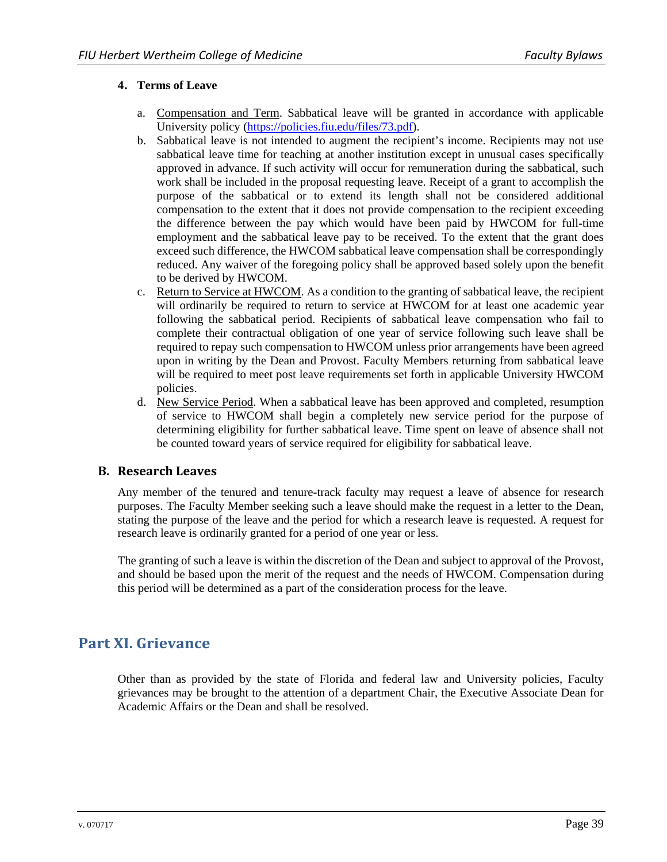#### **4. Terms of Leave**

- a. Compensation and Term. Sabbatical leave will be granted in accordance with applicable University policy (https://policies.fiu.edu/files/73.pdf).
- b. Sabbatical leave is not intended to augment the recipient's income. Recipients may not use sabbatical leave time for teaching at another institution except in unusual cases specifically approved in advance. If such activity will occur for remuneration during the sabbatical, such work shall be included in the proposal requesting leave. Receipt of a grant to accomplish the purpose of the sabbatical or to extend its length shall not be considered additional compensation to the extent that it does not provide compensation to the recipient exceeding the difference between the pay which would have been paid by HWCOM for full-time employment and the sabbatical leave pay to be received. To the extent that the grant does exceed such difference, the HWCOM sabbatical leave compensation shall be correspondingly reduced. Any waiver of the foregoing policy shall be approved based solely upon the benefit to be derived by HWCOM.
- c. Return to Service at HWCOM. As a condition to the granting of sabbatical leave, the recipient will ordinarily be required to return to service at HWCOM for at least one academic year following the sabbatical period. Recipients of sabbatical leave compensation who fail to complete their contractual obligation of one year of service following such leave shall be required to repay such compensation to HWCOM unless prior arrangements have been agreed upon in writing by the Dean and Provost. Faculty Members returning from sabbatical leave will be required to meet post leave requirements set forth in applicable University HWCOM policies.
- d. New Service Period. When a sabbatical leave has been approved and completed, resumption of service to HWCOM shall begin a completely new service period for the purpose of determining eligibility for further sabbatical leave. Time spent on leave of absence shall not be counted toward years of service required for eligibility for sabbatical leave.

#### **B. Research Leaves**

Any member of the tenured and tenure-track faculty may request a leave of absence for research purposes. The Faculty Member seeking such a leave should make the request in a letter to the Dean, stating the purpose of the leave and the period for which a research leave is requested. A request for research leave is ordinarily granted for a period of one year or less.

The granting of such a leave is within the discretion of the Dean and subject to approval of the Provost, and should be based upon the merit of the request and the needs of HWCOM. Compensation during this period will be determined as a part of the consideration process for the leave.

# **Part XI. Grievance**

Other than as provided by the state of Florida and federal law and University policies, Faculty grievances may be brought to the attention of a department Chair, the Executive Associate Dean for Academic Affairs or the Dean and shall be resolved.